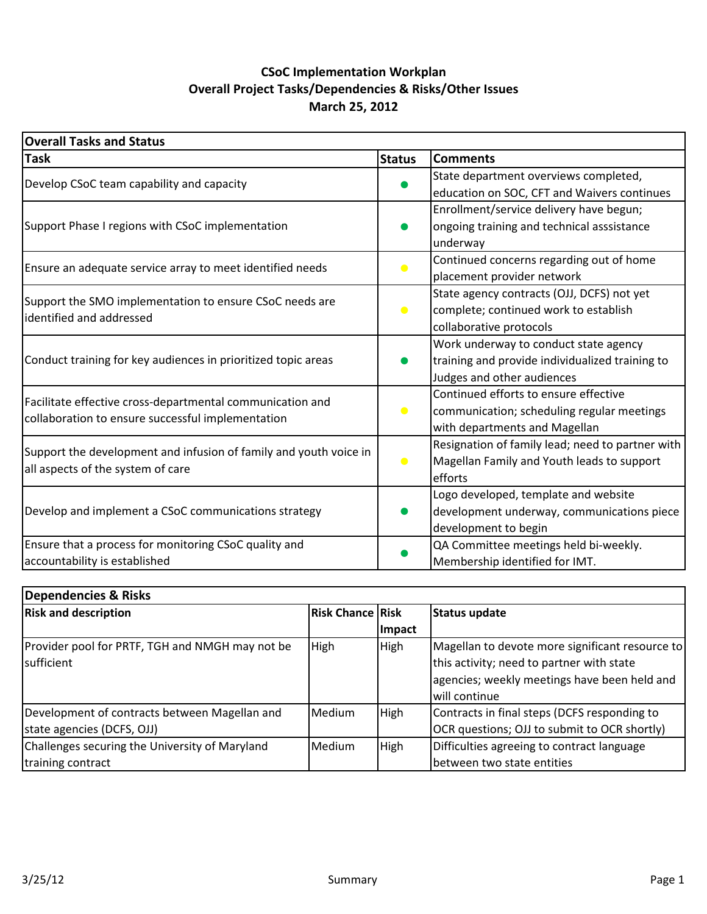## **March 25, 2012 CSoC Implementation Workplan Overall Project Tasks/Dependencies & Risks/Other Issues**

| <b>Overall Tasks and Status</b>                                   |               |                                                  |  |  |  |  |
|-------------------------------------------------------------------|---------------|--------------------------------------------------|--|--|--|--|
| <b>Task</b>                                                       | <b>Status</b> | <b>Comments</b>                                  |  |  |  |  |
| Develop CSoC team capability and capacity                         |               | State department overviews completed,            |  |  |  |  |
|                                                                   |               | education on SOC, CFT and Waivers continues      |  |  |  |  |
|                                                                   |               | Enrollment/service delivery have begun;          |  |  |  |  |
| Support Phase I regions with CSoC implementation                  |               | ongoing training and technical asssistance       |  |  |  |  |
|                                                                   |               | underway                                         |  |  |  |  |
| Ensure an adequate service array to meet identified needs         | $\bullet$     | Continued concerns regarding out of home         |  |  |  |  |
|                                                                   |               | placement provider network                       |  |  |  |  |
| Support the SMO implementation to ensure CSoC needs are           |               | State agency contracts (OJJ, DCFS) not yet       |  |  |  |  |
| identified and addressed                                          | $\bullet$     | complete; continued work to establish            |  |  |  |  |
|                                                                   |               | collaborative protocols                          |  |  |  |  |
|                                                                   |               | Work underway to conduct state agency            |  |  |  |  |
| Conduct training for key audiences in prioritized topic areas     |               | training and provide individualized training to  |  |  |  |  |
|                                                                   |               | Judges and other audiences                       |  |  |  |  |
| Facilitate effective cross-departmental communication and         |               | Continued efforts to ensure effective            |  |  |  |  |
| collaboration to ensure successful implementation                 | $\bullet$     | communication; scheduling regular meetings       |  |  |  |  |
|                                                                   |               | with departments and Magellan                    |  |  |  |  |
| Support the development and infusion of family and youth voice in |               | Resignation of family lead; need to partner with |  |  |  |  |
| all aspects of the system of care                                 | $\bullet$     | Magellan Family and Youth leads to support       |  |  |  |  |
|                                                                   |               | efforts                                          |  |  |  |  |
|                                                                   |               | Logo developed, template and website             |  |  |  |  |
| Develop and implement a CSoC communications strategy              |               | development underway, communications piece       |  |  |  |  |
|                                                                   |               | development to begin                             |  |  |  |  |
| Ensure that a process for monitoring CSoC quality and             |               | QA Committee meetings held bi-weekly.            |  |  |  |  |
| accountability is established                                     |               | Membership identified for IMT.                   |  |  |  |  |

| Dependencies & Risks                            |                         |             |                                                 |  |  |  |  |  |  |  |
|-------------------------------------------------|-------------------------|-------------|-------------------------------------------------|--|--|--|--|--|--|--|
| <b>Risk and description</b>                     | <b>Risk Chance Risk</b> |             | Status update                                   |  |  |  |  |  |  |  |
|                                                 |                         | Impact      |                                                 |  |  |  |  |  |  |  |
| Provider pool for PRTF, TGH and NMGH may not be | High                    | <b>High</b> | Magellan to devote more significant resource to |  |  |  |  |  |  |  |
| sufficient                                      |                         |             | this activity; need to partner with state       |  |  |  |  |  |  |  |
|                                                 |                         |             | agencies; weekly meetings have been held and    |  |  |  |  |  |  |  |
|                                                 |                         |             | will continue                                   |  |  |  |  |  |  |  |
| Development of contracts between Magellan and   | <b>Medium</b>           | High        | Contracts in final steps (DCFS responding to    |  |  |  |  |  |  |  |
| state agencies (DCFS, OJJ)                      |                         |             | OCR questions; OJJ to submit to OCR shortly)    |  |  |  |  |  |  |  |
| Challenges securing the University of Maryland  | <b>Medium</b>           | High        | Difficulties agreeing to contract language      |  |  |  |  |  |  |  |
| training contract                               |                         |             | between two state entities                      |  |  |  |  |  |  |  |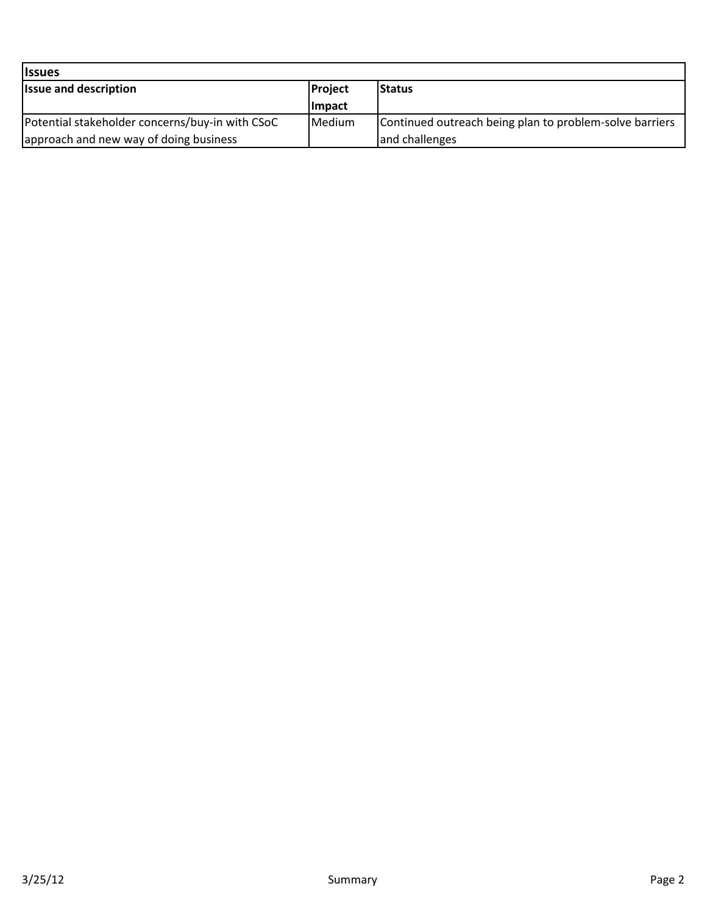| <b>Issues</b>                                   |               |                                                         |
|-------------------------------------------------|---------------|---------------------------------------------------------|
| <b>Issue and description</b>                    | Project       | <b>Status</b>                                           |
|                                                 | <b>Impact</b> |                                                         |
| Potential stakeholder concerns/buy-in with CSoC | Medium        | Continued outreach being plan to problem-solve barriers |
| approach and new way of doing business          |               | and challenges                                          |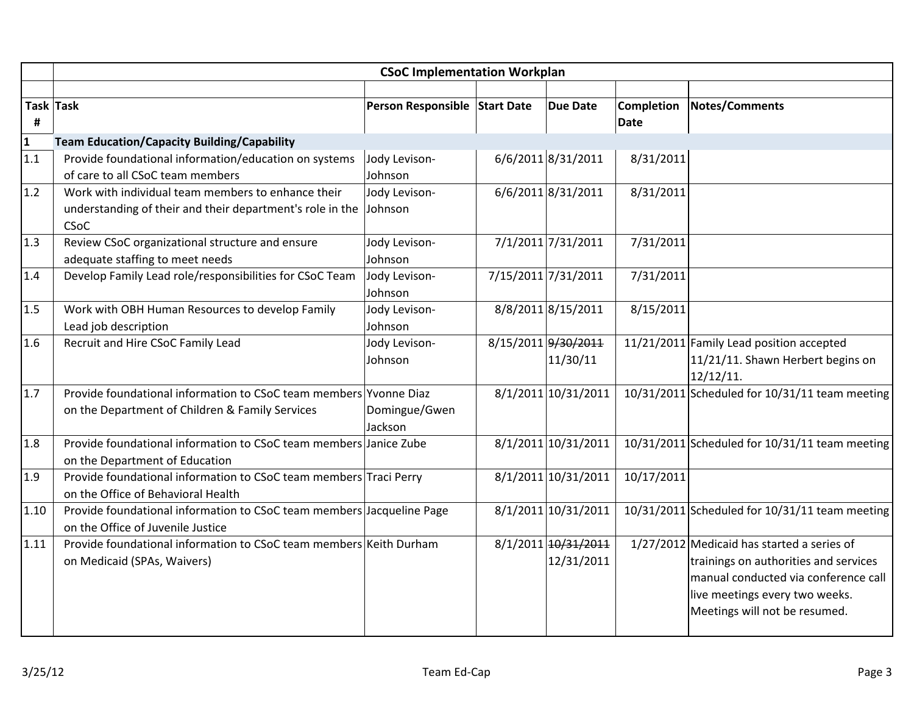|                         | <b>CSoC Implementation Workplan</b>                                                                                     |                               |  |                                   |                                  |                                                                                                                                                                                                  |  |  |
|-------------------------|-------------------------------------------------------------------------------------------------------------------------|-------------------------------|--|-----------------------------------|----------------------------------|--------------------------------------------------------------------------------------------------------------------------------------------------------------------------------------------------|--|--|
| #                       | Task Task                                                                                                               | Person Responsible Start Date |  | <b>Due Date</b>                   | <b>Completion</b><br><b>Date</b> | Notes/Comments                                                                                                                                                                                   |  |  |
| $\overline{\mathbf{1}}$ | <b>Team Education/Capacity Building/Capability</b>                                                                      |                               |  |                                   |                                  |                                                                                                                                                                                                  |  |  |
| 1.1                     | Provide foundational information/education on systems<br>of care to all CSoC team members                               | Jody Levison-<br>Johnson      |  | 6/6/2011 8/31/2011                | 8/31/2011                        |                                                                                                                                                                                                  |  |  |
| 1.2                     | Work with individual team members to enhance their<br>understanding of their and their department's role in the<br>CSoC | Jody Levison-<br>Johnson      |  | 6/6/2011 8/31/2011                | 8/31/2011                        |                                                                                                                                                                                                  |  |  |
| 1.3                     | Review CSoC organizational structure and ensure<br>adequate staffing to meet needs                                      | Jody Levison-<br>Johnson      |  | 7/1/2011 7/31/2011                | 7/31/2011                        |                                                                                                                                                                                                  |  |  |
| 1.4                     | Develop Family Lead role/responsibilities for CSoC Team                                                                 | Jody Levison-<br>Johnson      |  | 7/15/2011 7/31/2011               | 7/31/2011                        |                                                                                                                                                                                                  |  |  |
| 1.5                     | Work with OBH Human Resources to develop Family<br>Lead job description                                                 | Jody Levison-<br>Johnson      |  | 8/8/2011 8/15/2011                | 8/15/2011                        |                                                                                                                                                                                                  |  |  |
| 1.6                     | Recruit and Hire CSoC Family Lead                                                                                       | Jody Levison-<br>Johnson      |  | 8/15/2011 9/30/2011<br>11/30/11   |                                  | 11/21/2011 Family Lead position accepted<br>11/21/11. Shawn Herbert begins on<br>12/12/11.                                                                                                       |  |  |
| 1.7                     | Provide foundational information to CSoC team members Yvonne Diaz<br>on the Department of Children & Family Services    | Domingue/Gwen<br>Jackson      |  | 8/1/2011 10/31/2011               |                                  | 10/31/2011 Scheduled for 10/31/11 team meeting                                                                                                                                                   |  |  |
| 1.8                     | Provide foundational information to CSoC team members Janice Zube<br>on the Department of Education                     |                               |  | 8/1/2011 10/31/2011               |                                  | 10/31/2011 Scheduled for 10/31/11 team meeting                                                                                                                                                   |  |  |
| 1.9                     | Provide foundational information to CSoC team members Traci Perry<br>on the Office of Behavioral Health                 |                               |  | 8/1/2011 10/31/2011               | 10/17/2011                       |                                                                                                                                                                                                  |  |  |
| 1.10                    | Provide foundational information to CSoC team members Jacqueline Page<br>on the Office of Juvenile Justice              |                               |  | 8/1/2011 10/31/2011               |                                  | 10/31/2011 Scheduled for 10/31/11 team meeting                                                                                                                                                   |  |  |
| 1.11                    | Provide foundational information to CSoC team members Keith Durham<br>on Medicaid (SPAs, Waivers)                       |                               |  | 8/1/2011 10/31/2011<br>12/31/2011 |                                  | $1/27/2012$ Medicaid has started a series of<br>trainings on authorities and services<br>manual conducted via conference call<br>live meetings every two weeks.<br>Meetings will not be resumed. |  |  |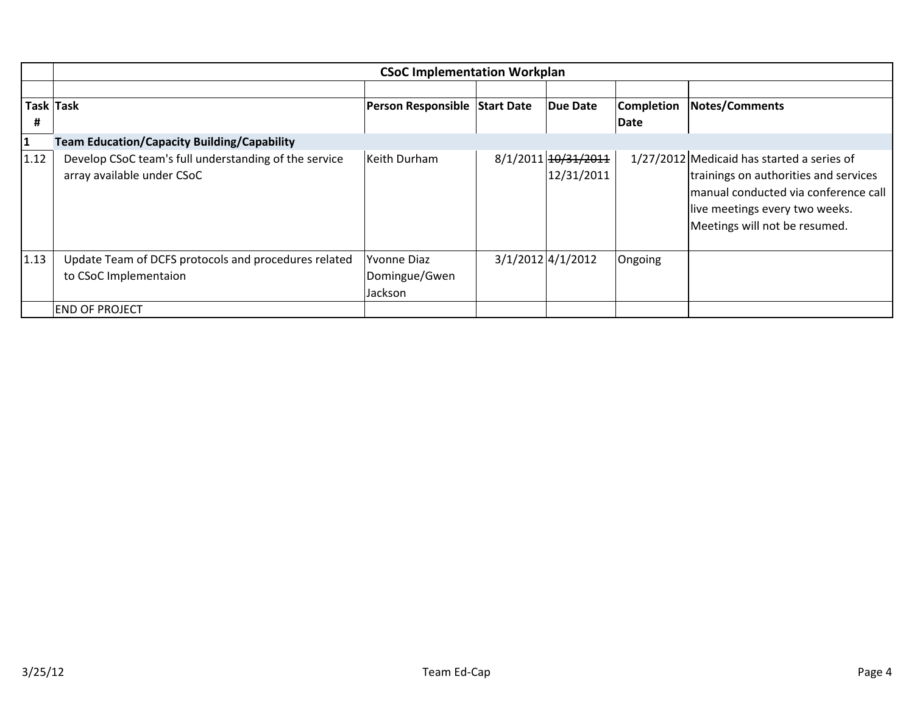|              | <b>CSoC Implementation Workplan</b>                                                 |                                                |  |                                   |                   |                                                                                                                                                                                                  |  |  |
|--------------|-------------------------------------------------------------------------------------|------------------------------------------------|--|-----------------------------------|-------------------|--------------------------------------------------------------------------------------------------------------------------------------------------------------------------------------------------|--|--|
|              |                                                                                     |                                                |  |                                   |                   |                                                                                                                                                                                                  |  |  |
|              | Task Task                                                                           | Person Responsible Start Date                  |  | Due Date                          | <b>Completion</b> | <b>Notes/Comments</b>                                                                                                                                                                            |  |  |
| #            |                                                                                     |                                                |  |                                   | Date              |                                                                                                                                                                                                  |  |  |
| $\mathbf{1}$ | <b>Team Education/Capacity Building/Capability</b>                                  |                                                |  |                                   |                   |                                                                                                                                                                                                  |  |  |
| 1.12         | Develop CSoC team's full understanding of the service<br>array available under CSoC | Keith Durham                                   |  | 8/1/2011 10/31/2011<br>12/31/2011 |                   | $1/27/2012$ Medicaid has started a series of<br>trainings on authorities and services<br>manual conducted via conference call<br>live meetings every two weeks.<br>Meetings will not be resumed. |  |  |
| 1.13         | Update Team of DCFS protocols and procedures related<br>to CSoC Implementaion       | <b>Yvonne Diaz</b><br>Domingue/Gwen<br>Jackson |  | $3/1/2012$ 4/1/2012               | Ongoing           |                                                                                                                                                                                                  |  |  |
|              | <b>END OF PROJECT</b>                                                               |                                                |  |                                   |                   |                                                                                                                                                                                                  |  |  |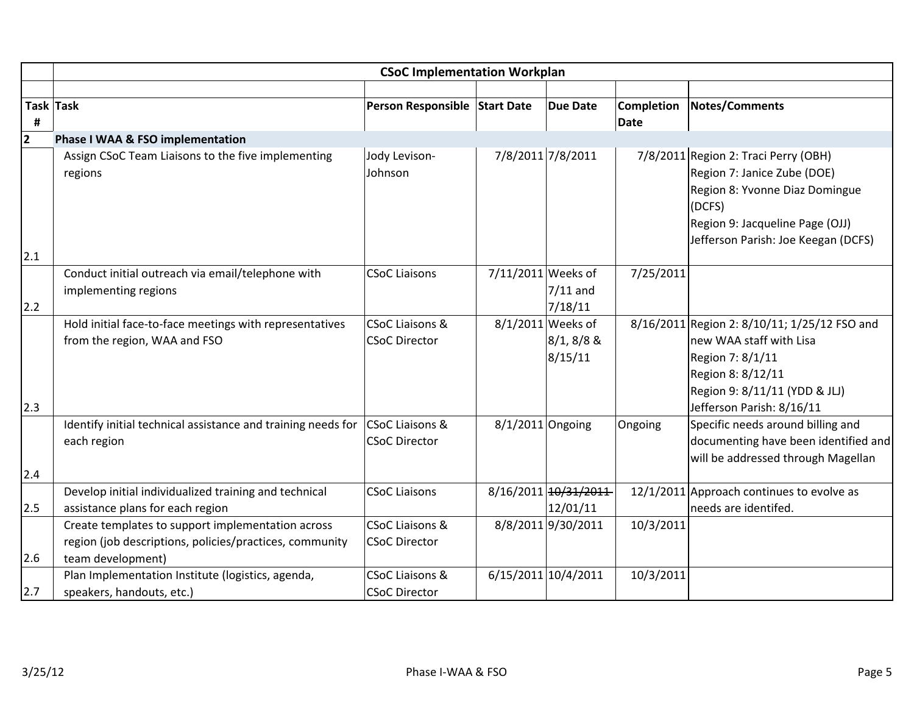|                | <b>CSoC Implementation Workplan</b>                                                                                               |                                                    |                    |                                              |                                  |                                                                                                                                                                                           |  |
|----------------|-----------------------------------------------------------------------------------------------------------------------------------|----------------------------------------------------|--------------------|----------------------------------------------|----------------------------------|-------------------------------------------------------------------------------------------------------------------------------------------------------------------------------------------|--|
|                |                                                                                                                                   |                                                    |                    |                                              |                                  |                                                                                                                                                                                           |  |
| #              | Task Task                                                                                                                         | Person Responsible Start Date                      |                    | <b>Due Date</b>                              | <b>Completion</b><br><b>Date</b> | <b>Notes/Comments</b>                                                                                                                                                                     |  |
| $\overline{2}$ | Phase I WAA & FSO implementation                                                                                                  |                                                    |                    |                                              |                                  |                                                                                                                                                                                           |  |
|                | Assign CSoC Team Liaisons to the five implementing<br>regions                                                                     | Jody Levison-<br>Johnson                           |                    | 7/8/2011 7/8/2011                            |                                  | 7/8/2011 Region 2: Traci Perry (OBH)<br>Region 7: Janice Zube (DOE)<br>Region 8: Yvonne Diaz Domingue<br>(DCFS)<br>Region 9: Jacqueline Page (OJJ)<br>Jefferson Parish: Joe Keegan (DCFS) |  |
| 2.1            |                                                                                                                                   |                                                    |                    |                                              |                                  |                                                                                                                                                                                           |  |
| 2.2            | Conduct initial outreach via email/telephone with<br>implementing regions                                                         | <b>CSoC Liaisons</b>                               | 7/11/2011 Weeks of | $7/11$ and<br>7/18/11                        | 7/25/2011                        |                                                                                                                                                                                           |  |
| 2.3            | Hold initial face-to-face meetings with representatives<br>from the region, WAA and FSO                                           | <b>CSoC Liaisons &amp;</b><br><b>CSoC Director</b> |                    | 8/1/2011 Weeks of<br>$8/1, 8/8$ &<br>8/15/11 |                                  | 8/16/2011 Region 2: 8/10/11; 1/25/12 FSO and<br>new WAA staff with Lisa<br>Region 7: 8/1/11<br>Region 8: 8/12/11<br>Region 9: 8/11/11 (YDD & JLJ)<br>Jefferson Parish: 8/16/11            |  |
| 2.4            | Identify initial technical assistance and training needs for<br>each region                                                       | <b>CSoC Liaisons &amp;</b><br><b>CSoC Director</b> | $8/1/2011$ Ongoing |                                              | Ongoing                          | Specific needs around billing and<br>documenting have been identified and<br>will be addressed through Magellan                                                                           |  |
|                | Develop initial individualized training and technical                                                                             | <b>CSoC Liaisons</b>                               |                    | 8/16/2011 10/31/2011                         |                                  | 12/1/2011 Approach continues to evolve as                                                                                                                                                 |  |
| 2.5            | assistance plans for each region                                                                                                  |                                                    |                    | 12/01/11                                     |                                  | needs are identifed.                                                                                                                                                                      |  |
| 2.6            | Create templates to support implementation across<br>region (job descriptions, policies/practices, community<br>team development) | <b>CSoC Liaisons &amp;</b><br><b>CSoC Director</b> |                    | 8/8/2011 9/30/2011                           | 10/3/2011                        |                                                                                                                                                                                           |  |
| 2.7            | Plan Implementation Institute (logistics, agenda,<br>speakers, handouts, etc.)                                                    | CSoC Liaisons &<br><b>CSoC Director</b>            |                    | 6/15/2011 10/4/2011                          | 10/3/2011                        |                                                                                                                                                                                           |  |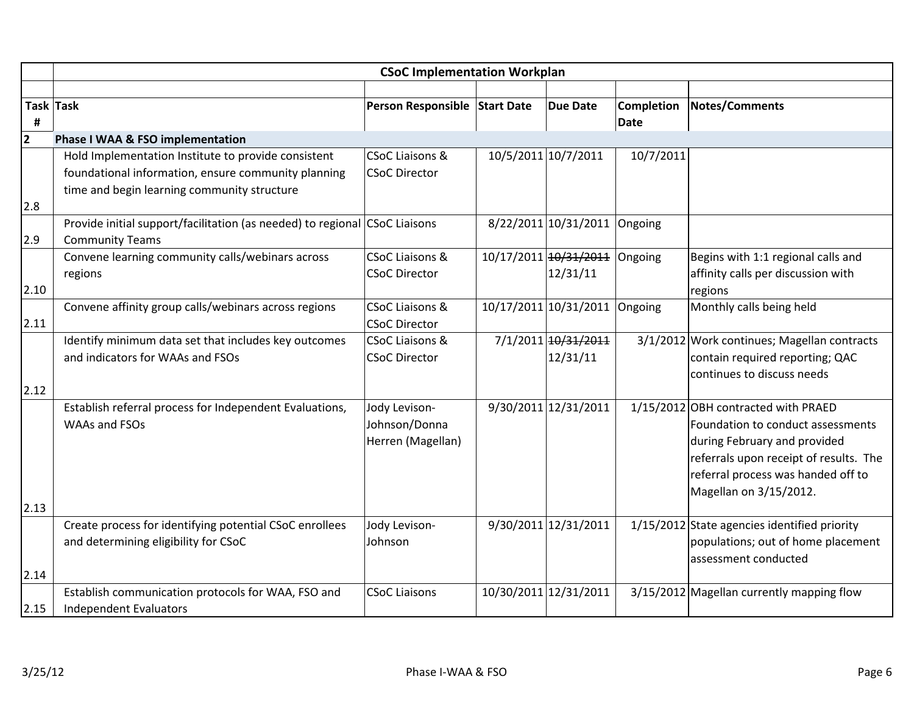|                | <b>CSoC Implementation Workplan</b>                                        |                               |  |                       |                   |                                              |  |  |
|----------------|----------------------------------------------------------------------------|-------------------------------|--|-----------------------|-------------------|----------------------------------------------|--|--|
|                |                                                                            |                               |  |                       |                   |                                              |  |  |
| Task Task      |                                                                            | Person Responsible Start Date |  | <b>Due Date</b>       | <b>Completion</b> | <b>Notes/Comments</b>                        |  |  |
| #              |                                                                            |                               |  |                       | <b>Date</b>       |                                              |  |  |
| $\overline{2}$ | Phase I WAA & FSO implementation                                           |                               |  |                       |                   |                                              |  |  |
|                | Hold Implementation Institute to provide consistent                        | <b>CSoC Liaisons &amp;</b>    |  | 10/5/2011 10/7/2011   | 10/7/2011         |                                              |  |  |
|                | foundational information, ensure community planning                        | <b>CSoC Director</b>          |  |                       |                   |                                              |  |  |
|                | time and begin learning community structure                                |                               |  |                       |                   |                                              |  |  |
| 2.8            |                                                                            |                               |  |                       |                   |                                              |  |  |
|                | Provide initial support/facilitation (as needed) to regional CSoC Liaisons |                               |  | 8/22/2011 10/31/2011  | Ongoing           |                                              |  |  |
| 2.9            | <b>Community Teams</b>                                                     |                               |  |                       |                   |                                              |  |  |
|                | Convene learning community calls/webinars across                           | <b>CSoC Liaisons &amp;</b>    |  | 10/17/2011 10/31/2011 | Ongoing           | Begins with 1:1 regional calls and           |  |  |
|                | regions                                                                    | <b>CSoC Director</b>          |  | 12/31/11              |                   | affinity calls per discussion with           |  |  |
| 2.10           |                                                                            |                               |  |                       |                   | regions                                      |  |  |
|                | Convene affinity group calls/webinars across regions                       | CSoC Liaisons &               |  | 10/17/2011 10/31/2011 | Ongoing           | Monthly calls being held                     |  |  |
| 2.11           |                                                                            | <b>CSoC Director</b>          |  |                       |                   |                                              |  |  |
|                | Identify minimum data set that includes key outcomes                       | <b>CSoC Liaisons &amp;</b>    |  | 7/1/2011 10/31/2011   |                   | 3/1/2012 Work continues; Magellan contracts  |  |  |
|                | and indicators for WAAs and FSOs                                           | <b>CSoC Director</b>          |  | 12/31/11              |                   | contain required reporting; QAC              |  |  |
|                |                                                                            |                               |  |                       |                   | continues to discuss needs                   |  |  |
| 2.12           |                                                                            |                               |  |                       |                   |                                              |  |  |
|                | Establish referral process for Independent Evaluations,                    | Jody Levison-                 |  | 9/30/2011 12/31/2011  |                   | 1/15/2012 OBH contracted with PRAED          |  |  |
|                | WAAs and FSOs                                                              | Johnson/Donna                 |  |                       |                   | Foundation to conduct assessments            |  |  |
|                |                                                                            | Herren (Magellan)             |  |                       |                   | during February and provided                 |  |  |
|                |                                                                            |                               |  |                       |                   | referrals upon receipt of results. The       |  |  |
|                |                                                                            |                               |  |                       |                   | referral process was handed off to           |  |  |
|                |                                                                            |                               |  |                       |                   | Magellan on 3/15/2012.                       |  |  |
| 2.13           |                                                                            |                               |  |                       |                   |                                              |  |  |
|                | Create process for identifying potential CSoC enrollees                    | Jody Levison-                 |  | 9/30/2011 12/31/2011  |                   | 1/15/2012 State agencies identified priority |  |  |
|                | and determining eligibility for CSoC                                       | Johnson                       |  |                       |                   | populations; out of home placement           |  |  |
|                |                                                                            |                               |  |                       |                   | assessment conducted                         |  |  |
| 2.14           |                                                                            |                               |  |                       |                   |                                              |  |  |
|                | Establish communication protocols for WAA, FSO and                         | <b>CSoC Liaisons</b>          |  | 10/30/2011 12/31/2011 |                   | 3/15/2012 Magellan currently mapping flow    |  |  |
| 2.15           | <b>Independent Evaluators</b>                                              |                               |  |                       |                   |                                              |  |  |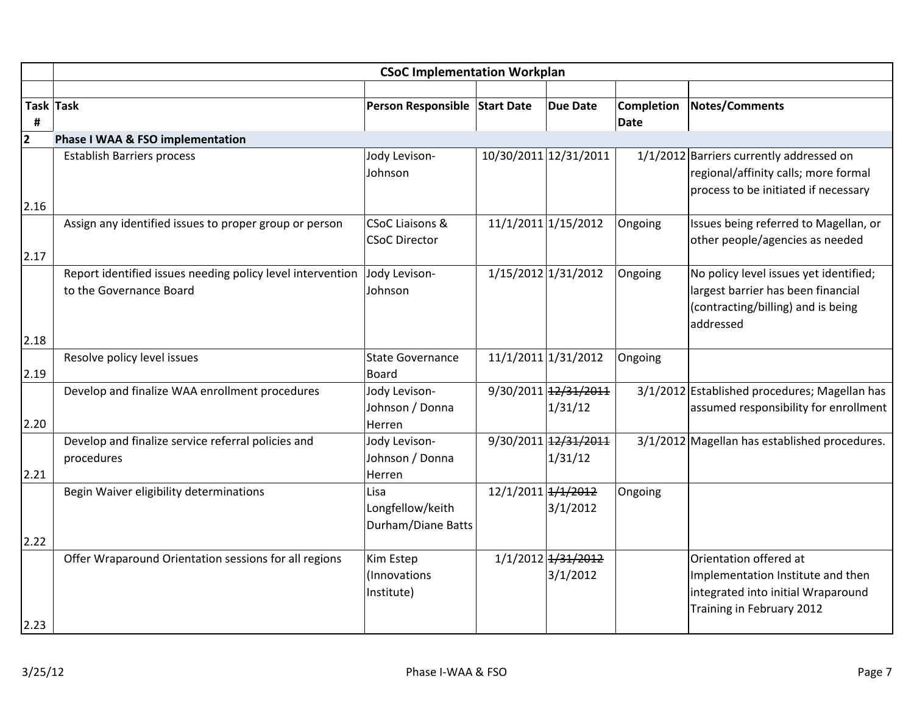|                         | <b>CSoC Implementation Workplan</b>                              |                                  |                    |                                 |                   |                                               |  |  |
|-------------------------|------------------------------------------------------------------|----------------------------------|--------------------|---------------------------------|-------------------|-----------------------------------------------|--|--|
|                         |                                                                  |                                  |                    |                                 |                   |                                               |  |  |
|                         | Task Task                                                        | Person Responsible Start Date    |                    | <b>Due Date</b>                 | <b>Completion</b> | <b>Notes/Comments</b>                         |  |  |
| #                       |                                                                  |                                  |                    |                                 | Date              |                                               |  |  |
| $\overline{\mathbf{2}}$ | Phase I WAA & FSO implementation                                 |                                  |                    |                                 |                   |                                               |  |  |
|                         | <b>Establish Barriers process</b>                                | Jody Levison-                    |                    | 10/30/2011 12/31/2011           |                   | 1/1/2012 Barriers currently addressed on      |  |  |
|                         |                                                                  | Johnson                          |                    |                                 |                   | regional/affinity calls; more formal          |  |  |
| 2.16                    |                                                                  |                                  |                    |                                 |                   | process to be initiated if necessary          |  |  |
|                         | Assign any identified issues to proper group or person           | CSoC Liaisons &                  |                    | 11/1/2011 1/15/2012             | Ongoing           | Issues being referred to Magellan, or         |  |  |
|                         |                                                                  | <b>CSoC Director</b>             |                    |                                 |                   | other people/agencies as needed               |  |  |
| 2.17                    |                                                                  |                                  |                    |                                 |                   |                                               |  |  |
|                         | Report identified issues needing policy level intervention       | Jody Levison-                    |                    | 1/15/2012 1/31/2012             | Ongoing           | No policy level issues yet identified;        |  |  |
|                         | to the Governance Board                                          | Johnson                          |                    |                                 |                   | largest barrier has been financial            |  |  |
|                         |                                                                  |                                  |                    |                                 |                   | (contracting/billing) and is being            |  |  |
|                         |                                                                  |                                  |                    |                                 |                   | addressed                                     |  |  |
| 2.18                    |                                                                  |                                  |                    |                                 |                   |                                               |  |  |
|                         | Resolve policy level issues                                      | <b>State Governance</b>          |                    | 11/1/2011 1/31/2012             | Ongoing           |                                               |  |  |
| 2.19                    |                                                                  | <b>Board</b>                     |                    |                                 |                   |                                               |  |  |
|                         | Develop and finalize WAA enrollment procedures                   | Jody Levison-                    |                    | 9/30/2011 12/31/2011            |                   | 3/1/2012 Established procedures; Magellan has |  |  |
|                         |                                                                  | Johnson / Donna                  |                    | 1/31/12                         |                   | assumed responsibility for enrollment         |  |  |
| 2.20                    |                                                                  | Herren                           |                    |                                 |                   |                                               |  |  |
|                         | Develop and finalize service referral policies and<br>procedures | Jody Levison-<br>Johnson / Donna |                    | 9/30/2011 12/31/2011<br>1/31/12 |                   | 3/1/2012 Magellan has established procedures. |  |  |
| 2.21                    |                                                                  | Herren                           |                    |                                 |                   |                                               |  |  |
|                         | Begin Waiver eligibility determinations                          | Lisa                             | 12/1/2011 + 1/2012 |                                 | Ongoing           |                                               |  |  |
|                         |                                                                  | Longfellow/keith                 |                    | 3/1/2012                        |                   |                                               |  |  |
|                         |                                                                  | Durham/Diane Batts               |                    |                                 |                   |                                               |  |  |
| 2.22                    |                                                                  |                                  |                    |                                 |                   |                                               |  |  |
|                         | Offer Wraparound Orientation sessions for all regions            | Kim Estep                        |                    | 1/1/2012 1/31/2012              |                   | Orientation offered at                        |  |  |
|                         |                                                                  | (Innovations                     |                    | 3/1/2012                        |                   | Implementation Institute and then             |  |  |
|                         |                                                                  | Institute)                       |                    |                                 |                   | integrated into initial Wraparound            |  |  |
|                         |                                                                  |                                  |                    |                                 |                   | Training in February 2012                     |  |  |
| 2.23                    |                                                                  |                                  |                    |                                 |                   |                                               |  |  |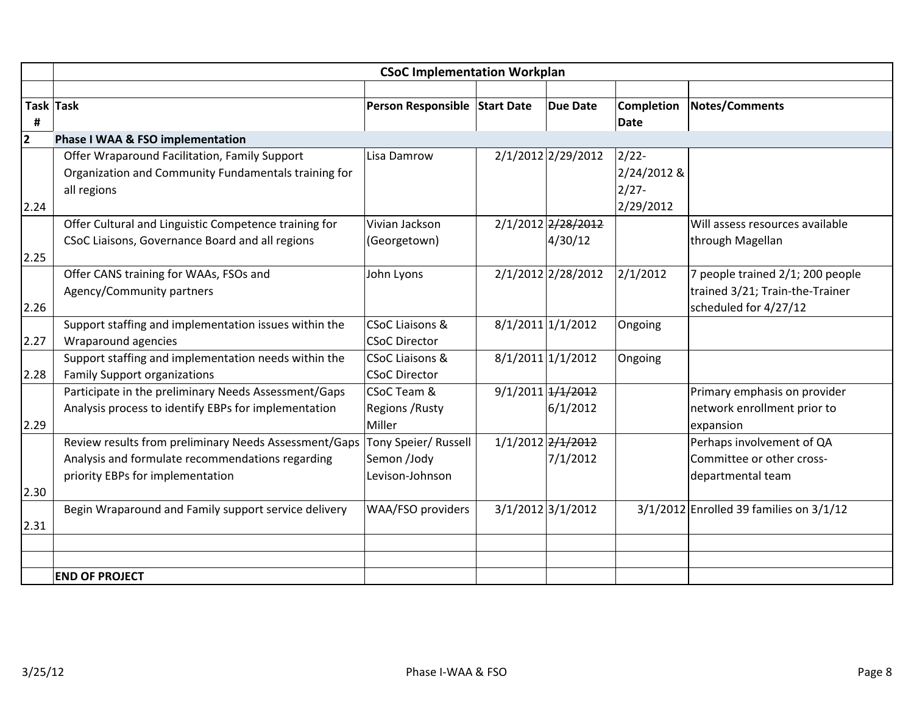|                | <b>CSoC Implementation Workplan</b>                                                                                                           |                                                            |  |                               |                                                  |                                                                                              |  |
|----------------|-----------------------------------------------------------------------------------------------------------------------------------------------|------------------------------------------------------------|--|-------------------------------|--------------------------------------------------|----------------------------------------------------------------------------------------------|--|
|                |                                                                                                                                               |                                                            |  |                               |                                                  |                                                                                              |  |
| #              | Task Task                                                                                                                                     | Person Responsible Start Date                              |  | <b>Due Date</b>               | Completion<br><b>Date</b>                        | Notes/Comments                                                                               |  |
| $\overline{2}$ | Phase I WAA & FSO implementation                                                                                                              |                                                            |  |                               |                                                  |                                                                                              |  |
| 2.24           | Offer Wraparound Facilitation, Family Support<br>Organization and Community Fundamentals training for<br>all regions                          | Lisa Damrow                                                |  | 2/1/2012 2/29/2012            | $2/22$ -<br>2/24/2012 &<br>$2/27 -$<br>2/29/2012 |                                                                                              |  |
|                | Offer Cultural and Linguistic Competence training for                                                                                         | Vivian Jackson                                             |  | 2/1/2012 2/28/2012            |                                                  | Will assess resources available                                                              |  |
| 2.25           | CSoC Liaisons, Governance Board and all regions                                                                                               | (Georgetown)                                               |  | 4/30/12                       |                                                  | through Magellan                                                                             |  |
| 2.26           | Offer CANS training for WAAs, FSOs and<br>Agency/Community partners                                                                           | John Lyons                                                 |  | 2/1/2012 2/28/2012            | 2/1/2012                                         | 7 people trained 2/1; 200 people<br>trained 3/21; Train-the-Trainer<br>scheduled for 4/27/12 |  |
| 2.27           | Support staffing and implementation issues within the<br>Wraparound agencies                                                                  | <b>CSoC Liaisons &amp;</b><br><b>CSoC Director</b>         |  | 8/1/2011 1/1/2012             | Ongoing                                          |                                                                                              |  |
| 2.28           | Support staffing and implementation needs within the<br><b>Family Support organizations</b>                                                   | <b>CSoC Liaisons &amp;</b><br><b>CSoC Director</b>         |  | 8/1/2011 1/1/2012             | Ongoing                                          |                                                                                              |  |
| 2.29           | Participate in the preliminary Needs Assessment/Gaps<br>Analysis process to identify EBPs for implementation                                  | <b>CSoC Team &amp;</b><br><b>Regions / Rusty</b><br>Miller |  | 9/1/2011 1/1/2012<br>6/1/2012 |                                                  | Primary emphasis on provider<br>network enrollment prior to<br>expansion                     |  |
|                | Review results from preliminary Needs Assessment/Gaps<br>Analysis and formulate recommendations regarding<br>priority EBPs for implementation | Tony Speier/ Russell<br>Semon /Jody<br>Levison-Johnson     |  | 1/1/2012 2/1/2012<br>7/1/2012 |                                                  | Perhaps involvement of QA<br>Committee or other cross-<br>departmental team                  |  |
| 2.30           |                                                                                                                                               |                                                            |  |                               |                                                  |                                                                                              |  |
| 2.31           | Begin Wraparound and Family support service delivery                                                                                          | WAA/FSO providers                                          |  | 3/1/2012 3/1/2012             |                                                  | $3/1/2012$ Enrolled 39 families on $3/1/12$                                                  |  |
|                |                                                                                                                                               |                                                            |  |                               |                                                  |                                                                                              |  |
|                | <b>END OF PROJECT</b>                                                                                                                         |                                                            |  |                               |                                                  |                                                                                              |  |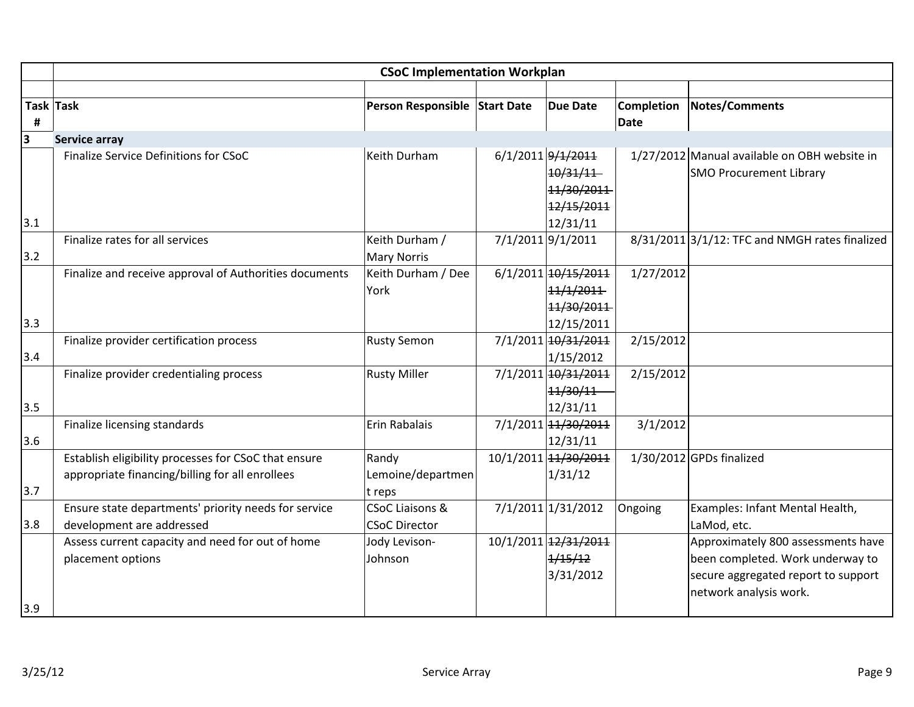|     | <b>CSoC Implementation Workplan</b>                    |                                          |  |                      |                   |                                                     |  |
|-----|--------------------------------------------------------|------------------------------------------|--|----------------------|-------------------|-----------------------------------------------------|--|
|     |                                                        |                                          |  |                      |                   |                                                     |  |
|     | Task Task                                              | Person Responsible Start Date            |  | <b>Due Date</b>      | <b>Completion</b> | <b>Notes/Comments</b>                               |  |
| #   |                                                        |                                          |  |                      | <b>Date</b>       |                                                     |  |
| 3   | Service array                                          |                                          |  |                      |                   |                                                     |  |
|     | Finalize Service Definitions for CSoC                  | Keith Durham                             |  | 6/1/2011 9/1/2011    |                   | 1/27/2012 Manual available on OBH website in        |  |
|     |                                                        |                                          |  | 10/31/11             |                   | <b>SMO Procurement Library</b>                      |  |
|     |                                                        |                                          |  | 11/30/2011           |                   |                                                     |  |
|     |                                                        |                                          |  | 12/15/2011           |                   |                                                     |  |
| 3.1 |                                                        |                                          |  | 12/31/11             |                   |                                                     |  |
|     | Finalize rates for all services                        | Keith Durham /                           |  | 7/1/2011 9/1/2011    |                   | $8/31/2011$ $3/1/12$ : TFC and NMGH rates finalized |  |
| 3.2 |                                                        | <b>Mary Norris</b><br>Keith Durham / Dee |  | 6/1/2011 10/15/2011  |                   |                                                     |  |
|     | Finalize and receive approval of Authorities documents | York                                     |  | 11/1/2011            | 1/27/2012         |                                                     |  |
|     |                                                        |                                          |  | 11/30/2011           |                   |                                                     |  |
| 3.3 |                                                        |                                          |  | 12/15/2011           |                   |                                                     |  |
|     | Finalize provider certification process                | <b>Rusty Semon</b>                       |  | 7/1/2011 10/31/2011  | 2/15/2012         |                                                     |  |
| 3.4 |                                                        |                                          |  | 1/15/2012            |                   |                                                     |  |
|     | Finalize provider credentialing process                | <b>Rusty Miller</b>                      |  | 7/1/2011 10/31/2011  | 2/15/2012         |                                                     |  |
|     |                                                        |                                          |  | 11/30/11             |                   |                                                     |  |
| 3.5 |                                                        |                                          |  | 12/31/11             |                   |                                                     |  |
|     | Finalize licensing standards                           | Erin Rabalais                            |  | 7/1/2011 14/30/2011  | 3/1/2012          |                                                     |  |
| 3.6 |                                                        |                                          |  | 12/31/11             |                   |                                                     |  |
|     | Establish eligibility processes for CSoC that ensure   | Randy                                    |  | 10/1/2011 14/30/2011 |                   | 1/30/2012 GPDs finalized                            |  |
|     | appropriate financing/billing for all enrollees        | Lemoine/departmen                        |  | 1/31/12              |                   |                                                     |  |
| 3.7 |                                                        | t reps                                   |  |                      |                   |                                                     |  |
|     | Ensure state departments' priority needs for service   | <b>CSoC Liaisons &amp;</b>               |  | 7/1/2011 1/31/2012   | Ongoing           | Examples: Infant Mental Health,                     |  |
| 3.8 | development are addressed                              | <b>CSoC Director</b>                     |  |                      |                   | LaMod, etc.                                         |  |
|     | Assess current capacity and need for out of home       | Jody Levison-                            |  | 10/1/2011 12/31/2011 |                   | Approximately 800 assessments have                  |  |
|     | placement options                                      | Johnson                                  |  | 1/15/12              |                   | been completed. Work underway to                    |  |
|     |                                                        |                                          |  | 3/31/2012            |                   | secure aggregated report to support                 |  |
|     |                                                        |                                          |  |                      |                   | network analysis work.                              |  |
| 3.9 |                                                        |                                          |  |                      |                   |                                                     |  |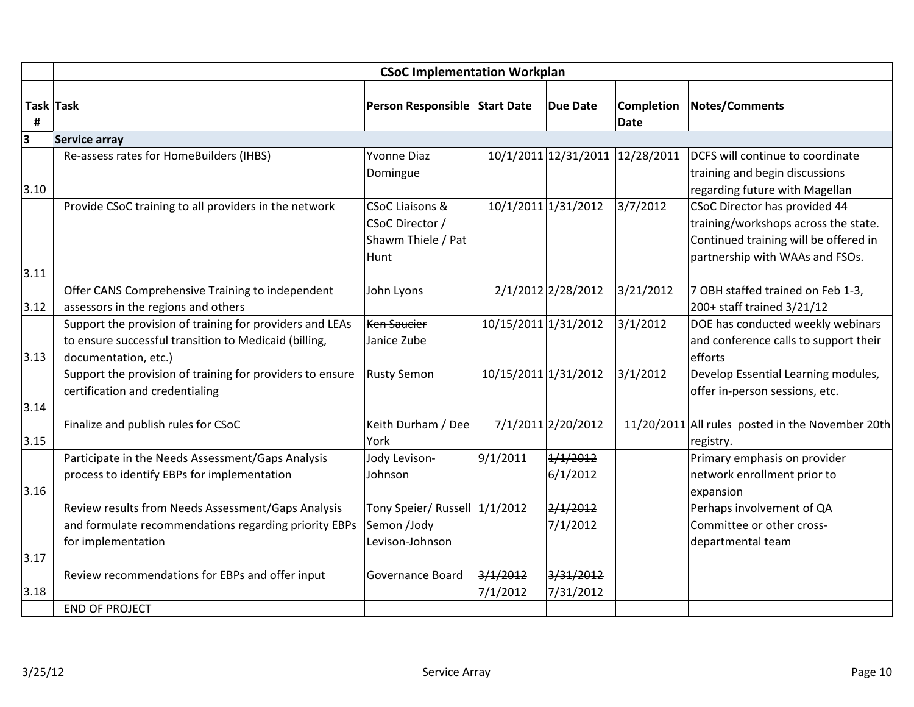|      |                                                           | <b>CSoC Implementation Workplan</b> |                      |                                 |            |                                                  |
|------|-----------------------------------------------------------|-------------------------------------|----------------------|---------------------------------|------------|--------------------------------------------------|
|      |                                                           |                                     |                      |                                 |            |                                                  |
|      | Task Task                                                 | Person Responsible Start Date       |                      | <b>Due Date</b>                 | Completion | <b>Notes/Comments</b>                            |
| #    |                                                           |                                     |                      |                                 | Date       |                                                  |
| 3    | <b>Service array</b>                                      |                                     |                      |                                 |            |                                                  |
|      | Re-assess rates for HomeBuilders (IHBS)                   | <b>Yvonne Diaz</b>                  |                      | 10/1/2011 12/31/2011 12/28/2011 |            | DCFS will continue to coordinate                 |
|      |                                                           | Domingue                            |                      |                                 |            | training and begin discussions                   |
| 3.10 |                                                           |                                     |                      |                                 |            | regarding future with Magellan                   |
|      | Provide CSoC training to all providers in the network     | <b>CSoC Liaisons &amp;</b>          |                      | 10/1/2011 1/31/2012             | 3/7/2012   | CSoC Director has provided 44                    |
|      |                                                           | CSoC Director /                     |                      |                                 |            | training/workshops across the state.             |
|      |                                                           | Shawm Thiele / Pat                  |                      |                                 |            | Continued training will be offered in            |
|      |                                                           | Hunt                                |                      |                                 |            | partnership with WAAs and FSOs.                  |
| 3.11 |                                                           |                                     |                      |                                 |            |                                                  |
|      | Offer CANS Comprehensive Training to independent          | John Lyons                          |                      | 2/1/2012 2/28/2012              | 3/21/2012  | 7 OBH staffed trained on Feb 1-3,                |
| 3.12 | assessors in the regions and others                       |                                     |                      |                                 |            | 200+ staff trained 3/21/12                       |
|      | Support the provision of training for providers and LEAs  | <b>Ken Saucier</b>                  | 10/15/2011 1/31/2012 |                                 | 3/1/2012   | DOE has conducted weekly webinars                |
|      | to ensure successful transition to Medicaid (billing,     | Janice Zube                         |                      |                                 |            | and conference calls to support their            |
| 3.13 | documentation, etc.)                                      |                                     |                      |                                 |            | efforts                                          |
|      | Support the provision of training for providers to ensure | <b>Rusty Semon</b>                  | 10/15/2011 1/31/2012 |                                 | 3/1/2012   | Develop Essential Learning modules,              |
|      | certification and credentialing                           |                                     |                      |                                 |            | offer in-person sessions, etc.                   |
| 3.14 |                                                           |                                     |                      |                                 |            |                                                  |
|      | Finalize and publish rules for CSoC                       | Keith Durham / Dee                  |                      | 7/1/2011 2/20/2012              |            | 11/20/2011 All rules posted in the November 20th |
| 3.15 |                                                           | York                                |                      |                                 |            | registry.                                        |
|      | Participate in the Needs Assessment/Gaps Analysis         | Jody Levison-                       | 9/1/2011             | 1/1/2012                        |            | Primary emphasis on provider                     |
|      | process to identify EBPs for implementation               | Johnson                             |                      | 6/1/2012                        |            | network enrollment prior to                      |
| 3.16 |                                                           |                                     |                      |                                 |            | expansion                                        |
|      | Review results from Needs Assessment/Gaps Analysis        | Tony Speier/ Russell 1/1/2012       |                      | 2/1/2012                        |            | Perhaps involvement of QA                        |
|      | and formulate recommendations regarding priority EBPs     | Semon /Jody                         |                      | 7/1/2012                        |            | Committee or other cross-                        |
|      | for implementation                                        | Levison-Johnson                     |                      |                                 |            | departmental team                                |
| 3.17 |                                                           |                                     |                      |                                 |            |                                                  |
|      | Review recommendations for EBPs and offer input           | <b>Governance Board</b>             | 3/1/2012             | 3/31/2012                       |            |                                                  |
| 3.18 |                                                           |                                     | 7/1/2012             | 7/31/2012                       |            |                                                  |
|      | <b>END OF PROJECT</b>                                     |                                     |                      |                                 |            |                                                  |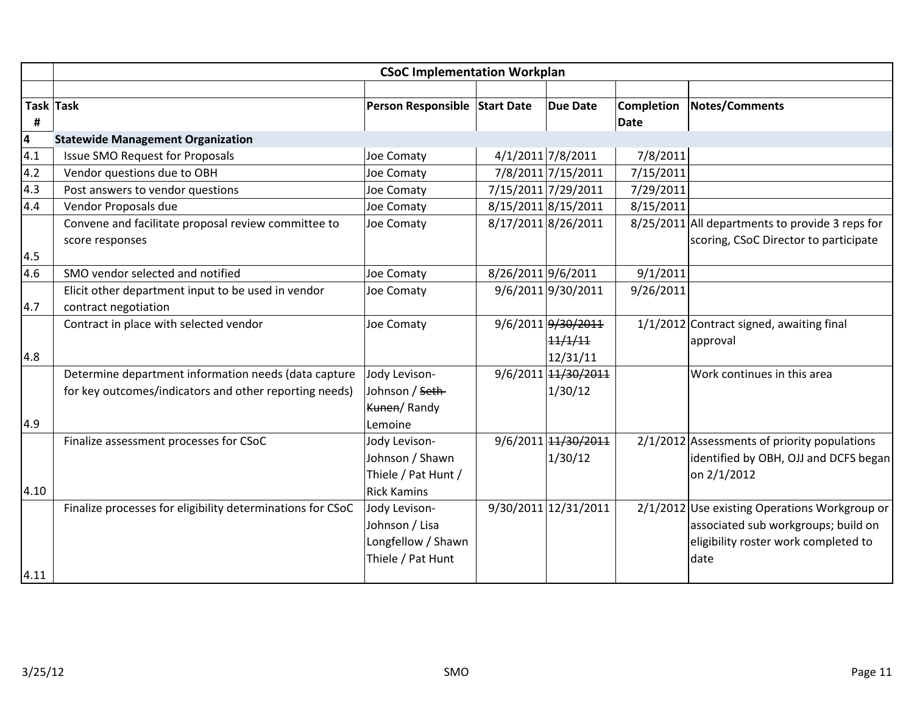|                         | <b>CSoC Implementation Workplan</b>                                        |                                                                            |                    |                                           |                   |                                                                                                                                      |  |  |
|-------------------------|----------------------------------------------------------------------------|----------------------------------------------------------------------------|--------------------|-------------------------------------------|-------------------|--------------------------------------------------------------------------------------------------------------------------------------|--|--|
|                         |                                                                            |                                                                            |                    |                                           |                   |                                                                                                                                      |  |  |
|                         | Task Task                                                                  | Person Responsible Start Date                                              |                    | <b>Due Date</b>                           | <b>Completion</b> | <b>Notes/Comments</b>                                                                                                                |  |  |
| #                       |                                                                            |                                                                            |                    |                                           | Date              |                                                                                                                                      |  |  |
| $\overline{\mathbf{4}}$ | <b>Statewide Management Organization</b>                                   |                                                                            |                    |                                           |                   |                                                                                                                                      |  |  |
| 4.1                     | <b>Issue SMO Request for Proposals</b>                                     | Joe Comaty                                                                 |                    | 4/1/2011 7/8/2011                         | 7/8/2011          |                                                                                                                                      |  |  |
| 4.2                     | Vendor questions due to OBH                                                | Joe Comaty                                                                 |                    | 7/8/2011 7/15/2011                        | 7/15/2011         |                                                                                                                                      |  |  |
| 4.3                     | Post answers to vendor questions                                           | Joe Comaty                                                                 |                    | 7/15/2011 7/29/2011                       | 7/29/2011         |                                                                                                                                      |  |  |
| 4.4                     | Vendor Proposals due                                                       | Joe Comaty                                                                 |                    | 8/15/2011 8/15/2011                       | 8/15/2011         |                                                                                                                                      |  |  |
|                         | Convene and facilitate proposal review committee to                        | Joe Comaty                                                                 |                    | 8/17/2011 8/26/2011                       |                   | 8/25/2011 All departments to provide 3 reps for                                                                                      |  |  |
| 4.5                     | score responses                                                            |                                                                            |                    |                                           |                   | scoring, CSoC Director to participate                                                                                                |  |  |
| 4.6                     | SMO vendor selected and notified                                           | Joe Comaty                                                                 | 8/26/2011 9/6/2011 |                                           | 9/1/2011          |                                                                                                                                      |  |  |
| 4.7                     | Elicit other department input to be used in vendor<br>contract negotiation | Joe Comaty                                                                 |                    | 9/6/2011 9/30/2011                        | 9/26/2011         |                                                                                                                                      |  |  |
| 4.8                     | Contract in place with selected vendor                                     | Joe Comaty                                                                 |                    | 9/6/2011 9/30/2011<br>11/1/11<br>12/31/11 |                   | $1/1/2012$ Contract signed, awaiting final<br>approval                                                                               |  |  |
|                         | Determine department information needs (data capture                       | Jody Levison-                                                              |                    | 9/6/2011 14/30/2011                       |                   | Work continues in this area                                                                                                          |  |  |
|                         | for key outcomes/indicators and other reporting needs)                     | Johnson / Seth-<br>Kunen/Randy                                             |                    | 1/30/12                                   |                   |                                                                                                                                      |  |  |
| 4.9                     |                                                                            | Lemoine                                                                    |                    |                                           |                   |                                                                                                                                      |  |  |
|                         | Finalize assessment processes for CSoC                                     | Jody Levison-<br>Johnson / Shawn<br>Thiele / Pat Hunt /                    |                    | 9/6/2011 14/30/2011<br>1/30/12            |                   | $2/1/2012$ Assessments of priority populations<br>identified by OBH, OJJ and DCFS began<br>on 2/1/2012                               |  |  |
| 4.10                    |                                                                            | <b>Rick Kamins</b>                                                         |                    |                                           |                   |                                                                                                                                      |  |  |
|                         | Finalize processes for eligibility determinations for CSoC                 | Jody Levison-<br>Johnson / Lisa<br>Longfellow / Shawn<br>Thiele / Pat Hunt |                    | 9/30/2011 12/31/2011                      |                   | 2/1/2012 Use existing Operations Workgroup or<br>associated sub workgroups; build on<br>eligibility roster work completed to<br>date |  |  |
| 4.11                    |                                                                            |                                                                            |                    |                                           |                   |                                                                                                                                      |  |  |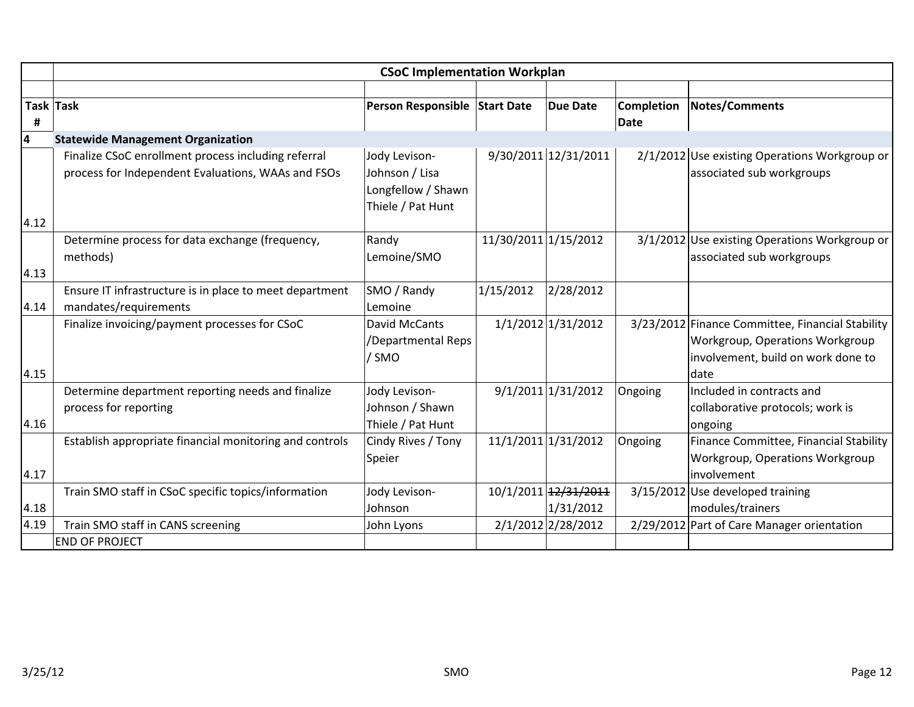|                         | <b>CSoC Implementation Workplan</b>                                                                       |                                                                            |                      |                                   |                    |                                                                                                                                   |  |  |
|-------------------------|-----------------------------------------------------------------------------------------------------------|----------------------------------------------------------------------------|----------------------|-----------------------------------|--------------------|-----------------------------------------------------------------------------------------------------------------------------------|--|--|
|                         |                                                                                                           |                                                                            |                      |                                   |                    |                                                                                                                                   |  |  |
| <b>Task Task</b><br>#   |                                                                                                           | Person Responsible Start Date                                              |                      | <b>Due Date</b>                   | Completion<br>Date | <b>Notes/Comments</b>                                                                                                             |  |  |
| $\overline{\mathbf{r}}$ | <b>Statewide Management Organization</b>                                                                  |                                                                            |                      |                                   |                    |                                                                                                                                   |  |  |
|                         | Finalize CSoC enrollment process including referral<br>process for Independent Evaluations, WAAs and FSOs | Jody Levison-<br>Johnson / Lisa<br>Longfellow / Shawn<br>Thiele / Pat Hunt |                      | 9/30/2011 12/31/2011              |                    | 2/1/2012 Use existing Operations Workgroup or<br>associated sub workgroups                                                        |  |  |
| 4.12                    |                                                                                                           |                                                                            |                      |                                   |                    |                                                                                                                                   |  |  |
| 4.13                    | Determine process for data exchange (frequency,<br>methods)                                               | Randy<br>Lemoine/SMO                                                       | 11/30/2011 1/15/2012 |                                   |                    | 3/1/2012 Use existing Operations Workgroup or<br>associated sub workgroups                                                        |  |  |
|                         | Ensure IT infrastructure is in place to meet department                                                   | SMO / Randy                                                                | 1/15/2012            | 2/28/2012                         |                    |                                                                                                                                   |  |  |
| 4.14                    | mandates/requirements                                                                                     | Lemoine                                                                    |                      |                                   |                    |                                                                                                                                   |  |  |
| 4.15                    | Finalize invoicing/payment processes for CSoC                                                             | David McCants<br>/Departmental Reps<br>/ SMO                               |                      | 1/1/2012 1/31/2012                |                    | 3/23/2012 Finance Committee, Financial Stability<br>Workgroup, Operations Workgroup<br>involvement, build on work done to<br>date |  |  |
| 4.16                    | Determine department reporting needs and finalize<br>process for reporting                                | Jody Levison-<br>Johnson / Shawn<br>Thiele / Pat Hunt                      |                      | 9/1/2011 1/31/2012                | Ongoing            | Included in contracts and<br>collaborative protocols; work is<br>ongoing                                                          |  |  |
| 4.17                    | Establish appropriate financial monitoring and controls                                                   | Cindy Rives / Tony<br>Speier                                               |                      | 11/1/2011 1/31/2012               | Ongoing            | Finance Committee, Financial Stability<br>Workgroup, Operations Workgroup<br>involvement                                          |  |  |
| 4.18                    | Train SMO staff in CSoC specific topics/information                                                       | Jody Levison-<br>Johnson                                                   |                      | 10/1/2011 12/31/2011<br>1/31/2012 |                    | 3/15/2012 Use developed training<br>modules/trainers                                                                              |  |  |
| 4.19                    | Train SMO staff in CANS screening                                                                         | John Lyons                                                                 |                      | 2/1/2012 2/28/2012                |                    | 2/29/2012 Part of Care Manager orientation                                                                                        |  |  |
|                         | <b>END OF PROJECT</b>                                                                                     |                                                                            |                      |                                   |                    |                                                                                                                                   |  |  |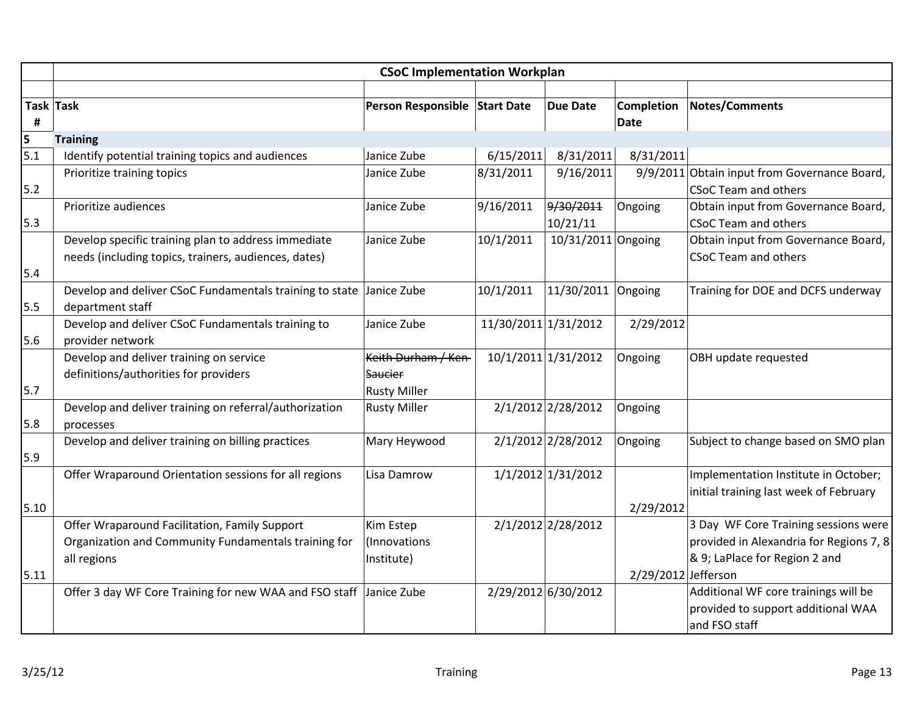|      | <b>CSoC Implementation Workplan</b>                                                                                  |                                                       |                      |                       |                           |                                                                                                                  |  |  |
|------|----------------------------------------------------------------------------------------------------------------------|-------------------------------------------------------|----------------------|-----------------------|---------------------------|------------------------------------------------------------------------------------------------------------------|--|--|
| #    | Task Task                                                                                                            | Person Responsible Start Date                         |                      | <b>Due Date</b>       | <b>Completion</b><br>Date | <b>Notes/Comments</b>                                                                                            |  |  |
| 5    | <b>Training</b>                                                                                                      |                                                       |                      |                       |                           |                                                                                                                  |  |  |
| 5.1  | Identify potential training topics and audiences                                                                     | Janice Zube                                           | 6/15/2011            | 8/31/2011             | 8/31/2011                 |                                                                                                                  |  |  |
| 5.2  | Prioritize training topics                                                                                           | Janice Zube                                           | 8/31/2011            | 9/16/2011             |                           | 9/9/2011 Obtain input from Governance Board,<br><b>CSoC Team and others</b>                                      |  |  |
| 5.3  | Prioritize audiences                                                                                                 | Janice Zube                                           | 9/16/2011            | 9/30/2011<br>10/21/11 | Ongoing                   | Obtain input from Governance Board,<br><b>CSoC Team and others</b>                                               |  |  |
| 5.4  | Develop specific training plan to address immediate<br>needs (including topics, trainers, audiences, dates)          | Janice Zube                                           | 10/1/2011            | 10/31/2011 Ongoing    |                           | Obtain input from Governance Board,<br><b>CSoC Team and others</b>                                               |  |  |
| 5.5  | Develop and deliver CSoC Fundamentals training to state<br>department staff                                          | Janice Zube                                           | 10/1/2011            | 11/30/2011 Ongoing    |                           | Training for DOE and DCFS underway                                                                               |  |  |
| 5.6  | Develop and deliver CSoC Fundamentals training to<br>provider network                                                | Janice Zube                                           | 11/30/2011 1/31/2012 |                       | 2/29/2012                 |                                                                                                                  |  |  |
| 5.7  | Develop and deliver training on service<br>definitions/authorities for providers                                     | Keith Durham / Ken-<br>Saucier<br><b>Rusty Miller</b> |                      | 10/1/2011 1/31/2012   | Ongoing                   | OBH update requested                                                                                             |  |  |
| 5.8  | Develop and deliver training on referral/authorization<br>processes                                                  | <b>Rusty Miller</b>                                   |                      | 2/1/2012 2/28/2012    | Ongoing                   |                                                                                                                  |  |  |
| 5.9  | Develop and deliver training on billing practices                                                                    | Mary Heywood                                          |                      | 2/1/2012 2/28/2012    | Ongoing                   | Subject to change based on SMO plan                                                                              |  |  |
| 5.10 | Offer Wraparound Orientation sessions for all regions                                                                | Lisa Damrow                                           |                      | 1/1/2012 1/31/2012    | 2/29/2012                 | Implementation Institute in October;<br>initial training last week of February                                   |  |  |
| 5.11 | Offer Wraparound Facilitation, Family Support<br>Organization and Community Fundamentals training for<br>all regions | Kim Estep<br>(Innovations<br>Institute)               |                      | 2/1/2012 2/28/2012    | 2/29/2012 Jefferson       | 3 Day WF Core Training sessions were<br>provided in Alexandria for Regions 7, 8<br>& 9; LaPlace for Region 2 and |  |  |
|      | Offer 3 day WF Core Training for new WAA and FSO staff                                                               | Janice Zube                                           |                      | 2/29/2012 6/30/2012   |                           | Additional WF core trainings will be<br>provided to support additional WAA<br>and FSO staff                      |  |  |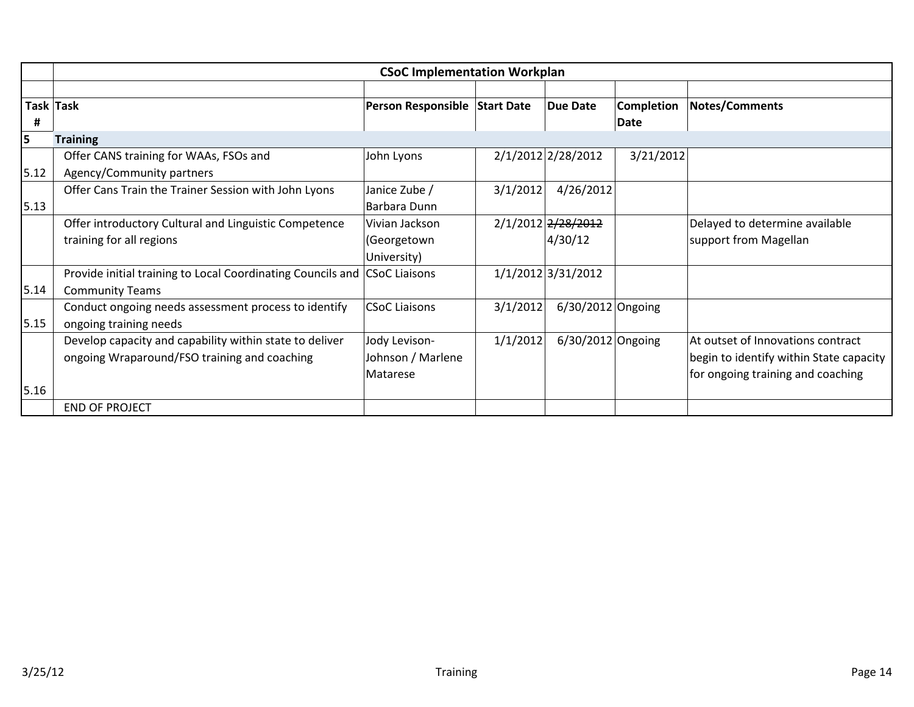|      | <b>CSoC Implementation Workplan</b>                                                                     |                                                |          |                               |                           |                                                                                                                   |  |  |
|------|---------------------------------------------------------------------------------------------------------|------------------------------------------------|----------|-------------------------------|---------------------------|-------------------------------------------------------------------------------------------------------------------|--|--|
| Ħ    | Task Task                                                                                               | Person Responsible Start Date                  |          | <b>Due Date</b>               | <b>Completion</b><br>Date | <b>Notes/Comments</b>                                                                                             |  |  |
| 5    | <b>Training</b>                                                                                         |                                                |          |                               |                           |                                                                                                                   |  |  |
| 5.12 | Offer CANS training for WAAs, FSOs and<br>Agency/Community partners                                     | John Lyons                                     |          | 2/1/2012 2/28/2012            | 3/21/2012                 |                                                                                                                   |  |  |
| 5.13 | Offer Cans Train the Trainer Session with John Lyons                                                    | Janice Zube /<br>Barbara Dunn                  | 3/1/2012 | 4/26/2012                     |                           |                                                                                                                   |  |  |
|      | Offer introductory Cultural and Linguistic Competence<br>training for all regions                       | Vivian Jackson<br>(Georgetown<br>University)   |          | 2/1/2012 2/28/2012<br>4/30/12 |                           | Delayed to determine available<br>support from Magellan                                                           |  |  |
| 5.14 | Provide initial training to Local Coordinating Councils and CSoC Liaisons<br><b>Community Teams</b>     |                                                |          | 1/1/2012 3/31/2012            |                           |                                                                                                                   |  |  |
| 5.15 | Conduct ongoing needs assessment process to identify<br>ongoing training needs                          | <b>CSoC Liaisons</b>                           | 3/1/2012 | 6/30/2012 Ongoing             |                           |                                                                                                                   |  |  |
| 5.16 | Develop capacity and capability within state to deliver<br>ongoing Wraparound/FSO training and coaching | Jody Levison-<br>Johnson / Marlene<br>Matarese | 1/1/2012 | 6/30/2012 Ongoing             |                           | At outset of Innovations contract<br>begin to identify within State capacity<br>for ongoing training and coaching |  |  |
|      | <b>END OF PROJECT</b>                                                                                   |                                                |          |                               |                           |                                                                                                                   |  |  |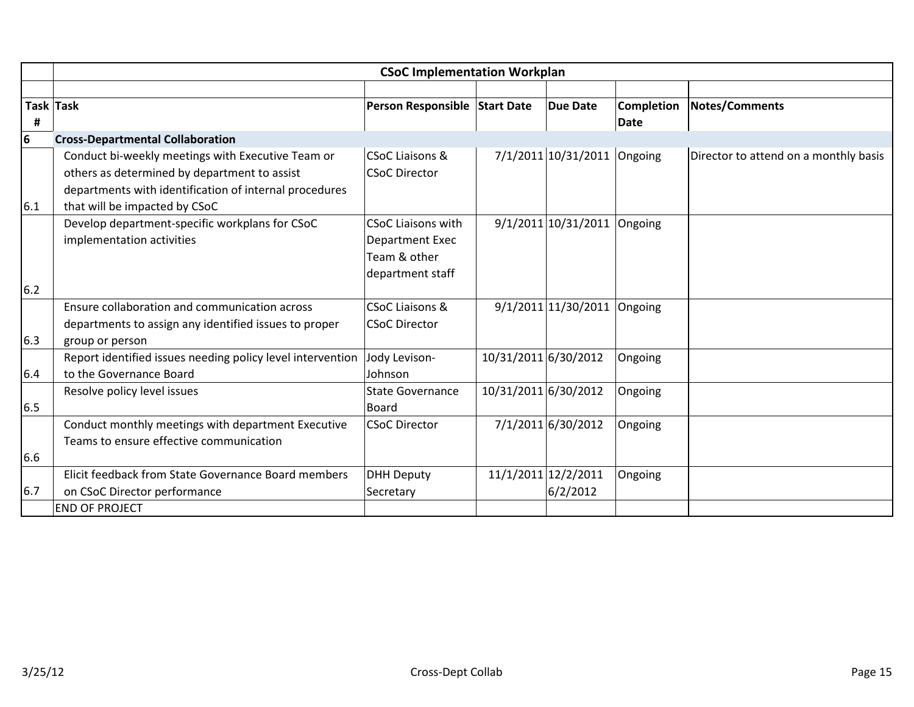|      | <b>CSoC Implementation Workplan</b>                        |                               |                      |                               |             |                                       |  |  |
|------|------------------------------------------------------------|-------------------------------|----------------------|-------------------------------|-------------|---------------------------------------|--|--|
|      |                                                            |                               |                      |                               |             |                                       |  |  |
|      | Task Task                                                  | Person Responsible Start Date |                      | <b>Due Date</b>               | Completion  | Notes/Comments                        |  |  |
| #    |                                                            |                               |                      |                               | <b>Date</b> |                                       |  |  |
| 6    | <b>Cross-Departmental Collaboration</b>                    |                               |                      |                               |             |                                       |  |  |
|      | Conduct bi-weekly meetings with Executive Team or          | <b>CSoC Liaisons &amp;</b>    |                      | 7/1/2011 10/31/2011 Ongoing   |             | Director to attend on a monthly basis |  |  |
|      | others as determined by department to assist               | <b>CSoC Director</b>          |                      |                               |             |                                       |  |  |
|      | departments with identification of internal procedures     |                               |                      |                               |             |                                       |  |  |
| 6.1  | that will be impacted by CSoC                              |                               |                      |                               |             |                                       |  |  |
|      | Develop department-specific workplans for CSoC             | <b>CSoC Liaisons with</b>     |                      | $9/1/2011$ 10/31/2011 Ongoing |             |                                       |  |  |
|      | implementation activities                                  | <b>Department Exec</b>        |                      |                               |             |                                       |  |  |
|      |                                                            | Team & other                  |                      |                               |             |                                       |  |  |
|      |                                                            | department staff              |                      |                               |             |                                       |  |  |
| 6.2  |                                                            |                               |                      |                               |             |                                       |  |  |
|      | Ensure collaboration and communication across              | <b>CSoC Liaisons &amp;</b>    |                      | $9/1/2011$ 1/30/2011 Ongoing  |             |                                       |  |  |
|      | departments to assign any identified issues to proper      | <b>CSoC Director</b>          |                      |                               |             |                                       |  |  |
| 6.3  | group or person                                            |                               |                      |                               |             |                                       |  |  |
|      | Report identified issues needing policy level intervention | Jody Levison-                 | 10/31/2011 6/30/2012 |                               | Ongoing     |                                       |  |  |
| 6.4  | to the Governance Board                                    | Johnson                       |                      |                               |             |                                       |  |  |
|      | Resolve policy level issues                                | <b>State Governance</b>       | 10/31/2011 6/30/2012 |                               | Ongoing     |                                       |  |  |
| 6.5  |                                                            | <b>Board</b>                  |                      |                               |             |                                       |  |  |
|      | Conduct monthly meetings with department Executive         | <b>CSoC Director</b>          |                      | 7/1/2011 6/30/2012            | Ongoing     |                                       |  |  |
|      | Teams to ensure effective communication                    |                               |                      |                               |             |                                       |  |  |
| 6.6  |                                                            |                               |                      |                               |             |                                       |  |  |
|      | Elicit feedback from State Governance Board members        | <b>DHH Deputy</b>             |                      | 11/1/2011 12/2/2011           | Ongoing     |                                       |  |  |
| 16.7 | on CSoC Director performance                               | Secretary                     |                      | 6/2/2012                      |             |                                       |  |  |
|      | <b>END OF PROJECT</b>                                      |                               |                      |                               |             |                                       |  |  |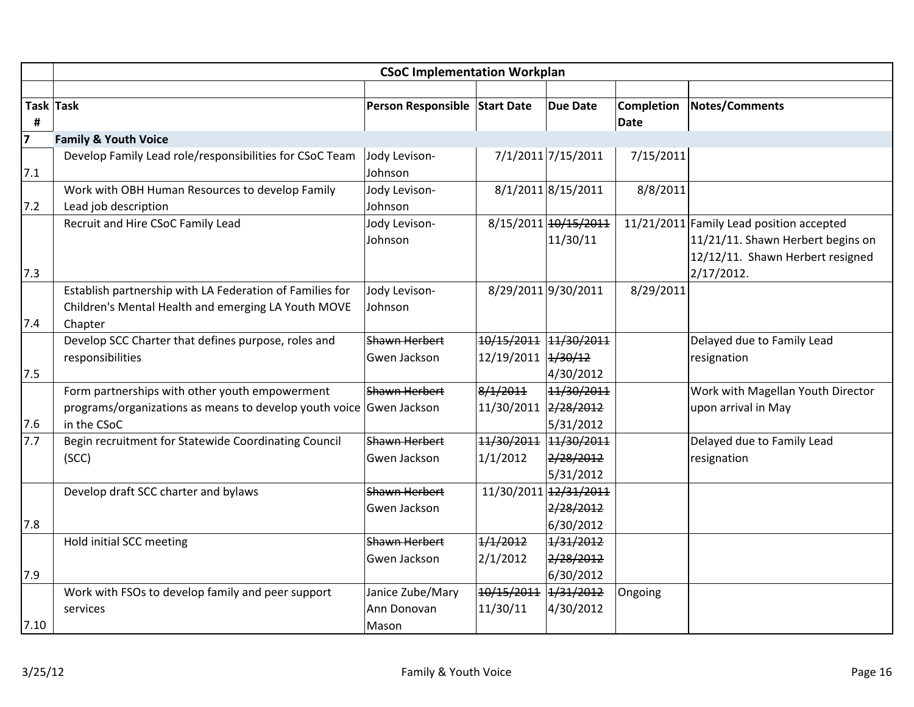|                | <b>CSoC Implementation Workplan</b>                                 |                               |                       |                        |                   |                                          |  |  |  |
|----------------|---------------------------------------------------------------------|-------------------------------|-----------------------|------------------------|-------------------|------------------------------------------|--|--|--|
|                |                                                                     |                               |                       |                        |                   |                                          |  |  |  |
|                | Task Task                                                           | Person Responsible Start Date |                       | <b>Due Date</b>        | <b>Completion</b> | Notes/Comments                           |  |  |  |
| #              |                                                                     |                               |                       |                        | <b>Date</b>       |                                          |  |  |  |
| $\overline{7}$ | <b>Family &amp; Youth Voice</b>                                     |                               |                       |                        |                   |                                          |  |  |  |
|                | Develop Family Lead role/responsibilities for CSoC Team             | Jody Levison-                 |                       | 7/1/2011 7/15/2011     | 7/15/2011         |                                          |  |  |  |
| 7.1            |                                                                     | Johnson                       |                       |                        |                   |                                          |  |  |  |
|                | Work with OBH Human Resources to develop Family                     | Jody Levison-                 |                       | 8/1/2011 8/15/2011     | 8/8/2011          |                                          |  |  |  |
| 7.2            | Lead job description                                                | Johnson                       |                       |                        |                   |                                          |  |  |  |
|                | Recruit and Hire CSoC Family Lead                                   | Jody Levison-                 |                       | 8/15/2011 10/15/2011   |                   | 11/21/2011 Family Lead position accepted |  |  |  |
|                |                                                                     | Johnson                       |                       | 11/30/11               |                   | 11/21/11. Shawn Herbert begins on        |  |  |  |
|                |                                                                     |                               |                       |                        |                   | 12/12/11. Shawn Herbert resigned         |  |  |  |
| 7.3            |                                                                     |                               |                       |                        |                   | $2/17/2012$ .                            |  |  |  |
|                | Establish partnership with LA Federation of Families for            | Jody Levison-                 |                       | 8/29/2011 9/30/2011    | 8/29/2011         |                                          |  |  |  |
|                | Children's Mental Health and emerging LA Youth MOVE                 | Johnson                       |                       |                        |                   |                                          |  |  |  |
| 7.4            | Chapter                                                             |                               |                       |                        |                   |                                          |  |  |  |
|                | Develop SCC Charter that defines purpose, roles and                 | Shawn Herbert                 | 10/15/2011 11/30/2011 |                        |                   | Delayed due to Family Lead               |  |  |  |
|                | responsibilities                                                    | Gwen Jackson                  | 12/19/2011 4/30/12    |                        |                   | resignation                              |  |  |  |
| 7.5            |                                                                     |                               |                       | 4/30/2012              |                   |                                          |  |  |  |
|                | Form partnerships with other youth empowerment                      | Shawn Herbert                 | 8/1/2011              | 11/30/2011             |                   | Work with Magellan Youth Director        |  |  |  |
|                | programs/organizations as means to develop youth voice Gwen Jackson |                               | 11/30/2011 2/28/2012  |                        |                   | upon arrival in May                      |  |  |  |
| 7.6            | in the CSoC                                                         |                               |                       | 5/31/2012              |                   |                                          |  |  |  |
| 7.7            | Begin recruitment for Statewide Coordinating Council                | <b>Shawn Herbert</b>          | 11/30/2011 11/30/2011 |                        |                   | Delayed due to Family Lead               |  |  |  |
|                | (SCC)                                                               | Gwen Jackson                  | 1/1/2012              | 2/28/2012              |                   | resignation                              |  |  |  |
|                |                                                                     |                               |                       | 5/31/2012              |                   |                                          |  |  |  |
|                | Develop draft SCC charter and bylaws                                | Shawn Herbert                 |                       | 11/30/2011 12/31/2011  |                   |                                          |  |  |  |
|                |                                                                     | Gwen Jackson                  |                       | 2/28/2012<br>6/30/2012 |                   |                                          |  |  |  |
| 7.8            | Hold initial SCC meeting                                            | <b>Shawn Herbert</b>          | 1/1/2012              | 1/31/2012              |                   |                                          |  |  |  |
|                |                                                                     | Gwen Jackson                  | 2/1/2012              |                        |                   |                                          |  |  |  |
| 7.9            |                                                                     |                               |                       | 2/28/2012<br>6/30/2012 |                   |                                          |  |  |  |
|                | Work with FSOs to develop family and peer support                   | Janice Zube/Mary              | 10/15/2011            | 1/31/2012              | Ongoing           |                                          |  |  |  |
|                | services                                                            | Ann Donovan                   | 11/30/11              | 4/30/2012              |                   |                                          |  |  |  |
| 7.10           |                                                                     | Mason                         |                       |                        |                   |                                          |  |  |  |
|                |                                                                     |                               |                       |                        |                   |                                          |  |  |  |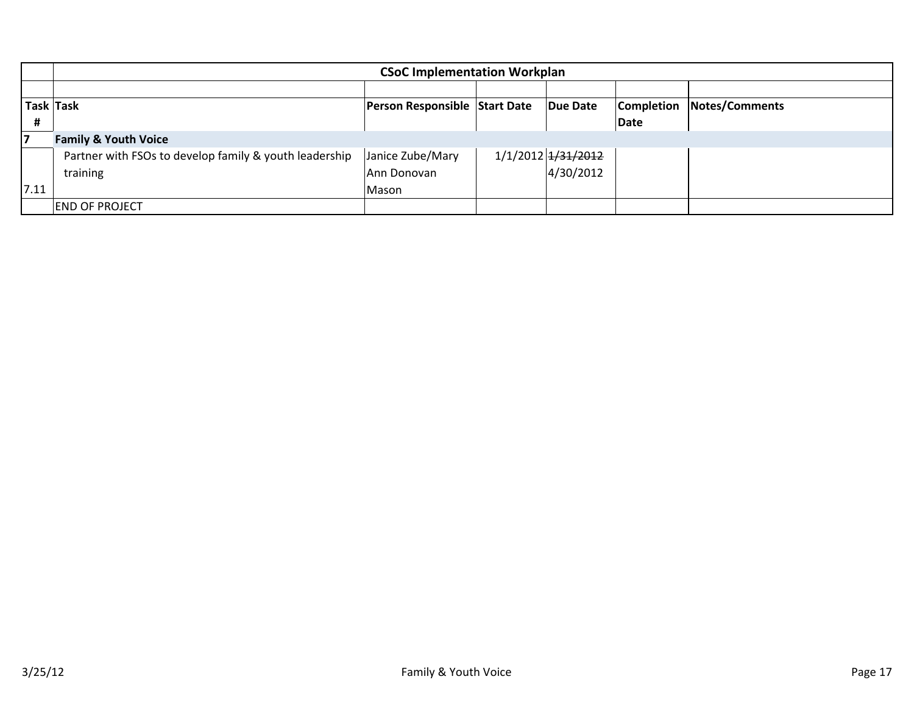|           | <b>CSoC Implementation Workplan</b>                    |                                      |  |                    |                   |                |  |  |
|-----------|--------------------------------------------------------|--------------------------------------|--|--------------------|-------------------|----------------|--|--|
|           |                                                        |                                      |  |                    |                   |                |  |  |
| Task Task |                                                        | <b>Person Responsible Start Date</b> |  | Due Date           | <b>Completion</b> | Notes/Comments |  |  |
| Ħ         |                                                        |                                      |  |                    | Date              |                |  |  |
| 17        | <b>Family &amp; Youth Voice</b>                        |                                      |  |                    |                   |                |  |  |
|           | Partner with FSOs to develop family & youth leadership | Janice Zube/Mary                     |  | 1/1/2012 1/31/2012 |                   |                |  |  |
|           | training                                               | Ann Donovan                          |  | 4/30/2012          |                   |                |  |  |
| 7.11      |                                                        | Mason                                |  |                    |                   |                |  |  |
|           | <b>END OF PROJECT</b>                                  |                                      |  |                    |                   |                |  |  |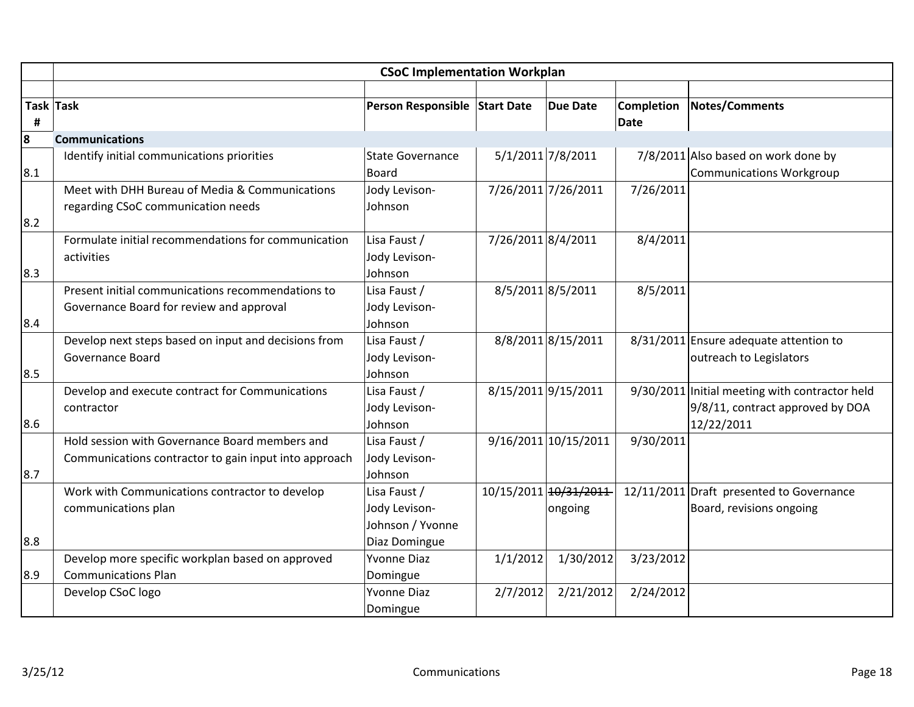|     | <b>CSoC Implementation Workplan</b>                   |                               |                    |                       |             |                                                |  |  |
|-----|-------------------------------------------------------|-------------------------------|--------------------|-----------------------|-------------|------------------------------------------------|--|--|
|     |                                                       |                               |                    |                       |             |                                                |  |  |
|     | Task Task                                             | Person Responsible Start Date |                    | <b>Due Date</b>       | Completion  | Notes/Comments                                 |  |  |
| #   |                                                       |                               |                    |                       | <b>Date</b> |                                                |  |  |
| 8   | <b>Communications</b>                                 |                               |                    |                       |             |                                                |  |  |
|     | Identify initial communications priorities            | <b>State Governance</b>       |                    | 5/1/2011 7/8/2011     |             | 7/8/2011 Also based on work done by            |  |  |
| 8.1 |                                                       | <b>Board</b>                  |                    |                       |             | <b>Communications Workgroup</b>                |  |  |
|     | Meet with DHH Bureau of Media & Communications        | Jody Levison-                 |                    | 7/26/2011 7/26/2011   | 7/26/2011   |                                                |  |  |
|     | regarding CSoC communication needs                    | Johnson                       |                    |                       |             |                                                |  |  |
| 8.2 |                                                       |                               |                    |                       |             |                                                |  |  |
|     | Formulate initial recommendations for communication   | Lisa Faust /                  | 7/26/2011 8/4/2011 |                       | 8/4/2011    |                                                |  |  |
|     | activities                                            | Jody Levison-                 |                    |                       |             |                                                |  |  |
| 8.3 |                                                       | Johnson                       |                    |                       |             |                                                |  |  |
|     | Present initial communications recommendations to     | Lisa Faust /                  |                    | 8/5/2011 8/5/2011     | 8/5/2011    |                                                |  |  |
|     | Governance Board for review and approval              | Jody Levison-                 |                    |                       |             |                                                |  |  |
| 8.4 |                                                       | Johnson                       |                    |                       |             |                                                |  |  |
|     | Develop next steps based on input and decisions from  | Lisa Faust /                  |                    | 8/8/2011 8/15/2011    |             | 8/31/2011 Ensure adequate attention to         |  |  |
|     | Governance Board                                      | Jody Levison-                 |                    |                       |             | outreach to Legislators                        |  |  |
| 8.5 |                                                       | Johnson                       |                    |                       |             |                                                |  |  |
|     | Develop and execute contract for Communications       | Lisa Faust /                  |                    | 8/15/2011 9/15/2011   |             | 9/30/2011 Initial meeting with contractor held |  |  |
|     | contractor                                            | Jody Levison-                 |                    |                       |             | 9/8/11, contract approved by DOA               |  |  |
| 8.6 |                                                       | Johnson                       |                    |                       |             | 12/22/2011                                     |  |  |
|     | Hold session with Governance Board members and        | Lisa Faust /                  |                    | 9/16/2011 10/15/2011  | 9/30/2011   |                                                |  |  |
|     | Communications contractor to gain input into approach | Jody Levison-                 |                    |                       |             |                                                |  |  |
| 8.7 |                                                       | Johnson                       |                    |                       |             |                                                |  |  |
|     | Work with Communications contractor to develop        | Lisa Faust /                  |                    | 10/15/2011 10/31/2011 |             | 12/11/2011 Draft presented to Governance       |  |  |
|     | communications plan                                   | Jody Levison-                 |                    | ongoing               |             | Board, revisions ongoing                       |  |  |
|     |                                                       | Johnson / Yvonne              |                    |                       |             |                                                |  |  |
| 8.8 |                                                       | Diaz Domingue                 |                    |                       |             |                                                |  |  |
|     | Develop more specific workplan based on approved      | <b>Yvonne Diaz</b>            | 1/1/2012           | 1/30/2012             | 3/23/2012   |                                                |  |  |
| 8.9 | <b>Communications Plan</b>                            | Domingue                      |                    |                       |             |                                                |  |  |
|     | Develop CSoC logo                                     | <b>Yvonne Diaz</b>            | 2/7/2012           | 2/21/2012             | 2/24/2012   |                                                |  |  |
|     |                                                       | Domingue                      |                    |                       |             |                                                |  |  |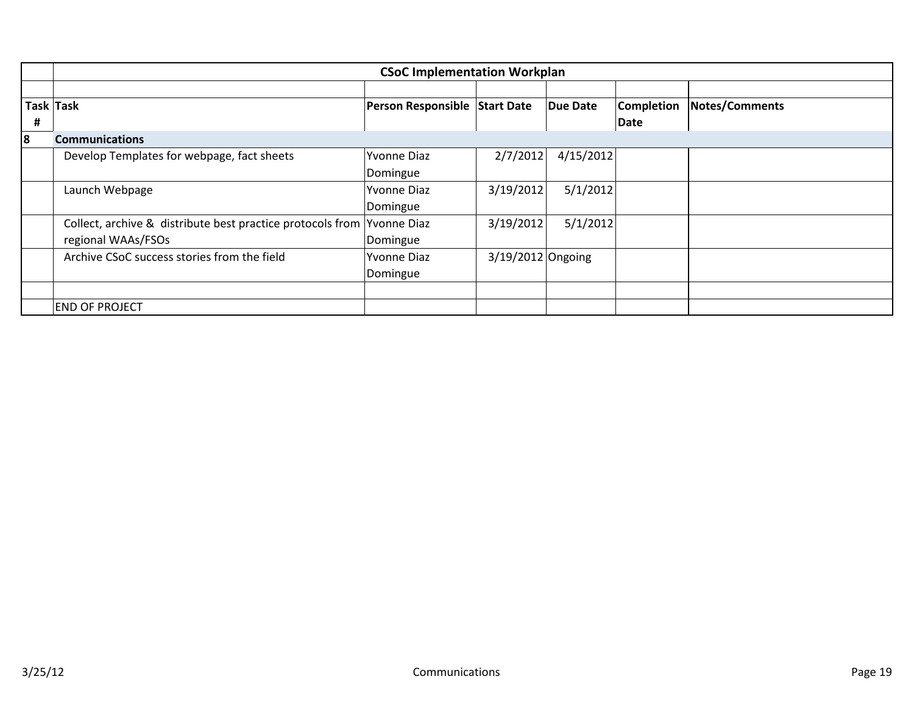|   | <b>CSoC Implementation Workplan</b>                                    |                               |                     |                 |                   |                       |  |  |
|---|------------------------------------------------------------------------|-------------------------------|---------------------|-----------------|-------------------|-----------------------|--|--|
|   |                                                                        |                               |                     |                 |                   |                       |  |  |
|   | Task Task                                                              | Person Responsible Start Date |                     | <b>Due Date</b> | <b>Completion</b> | <b>Notes/Comments</b> |  |  |
| # |                                                                        |                               |                     |                 | Date              |                       |  |  |
| 8 | <b>Communications</b>                                                  |                               |                     |                 |                   |                       |  |  |
|   | Develop Templates for webpage, fact sheets                             | Yvonne Diaz                   | 2/7/2012            | 4/15/2012       |                   |                       |  |  |
|   |                                                                        | Domingue                      |                     |                 |                   |                       |  |  |
|   | Launch Webpage                                                         | <b>Yvonne Diaz</b>            | 3/19/2012           | 5/1/2012        |                   |                       |  |  |
|   |                                                                        | Domingue                      |                     |                 |                   |                       |  |  |
|   | Collect, archive & distribute best practice protocols from Yvonne Diaz |                               | 3/19/2012           | 5/1/2012        |                   |                       |  |  |
|   | regional WAAs/FSOs                                                     | Domingue                      |                     |                 |                   |                       |  |  |
|   | Archive CSoC success stories from the field                            | <b>Yvonne Diaz</b>            | $3/19/2012$ Ongoing |                 |                   |                       |  |  |
|   |                                                                        | Domingue                      |                     |                 |                   |                       |  |  |
|   |                                                                        |                               |                     |                 |                   |                       |  |  |
|   | <b>END OF PROJECT</b>                                                  |                               |                     |                 |                   |                       |  |  |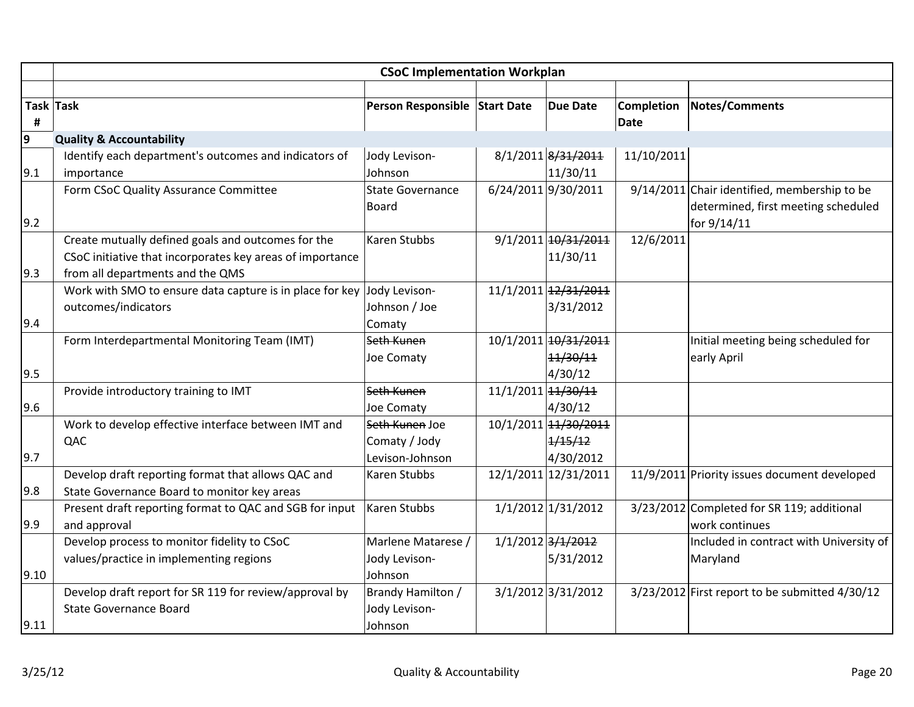|      | <b>CSoC Implementation Workplan</b>                       |                               |                    |                      |                                  |                                                    |  |
|------|-----------------------------------------------------------|-------------------------------|--------------------|----------------------|----------------------------------|----------------------------------------------------|--|
|      |                                                           |                               |                    |                      |                                  |                                                    |  |
| Ħ,   | Task Task                                                 | Person Responsible Start Date |                    | <b>Due Date</b>      | <b>Completion</b><br><b>Date</b> | <b>Notes/Comments</b>                              |  |
| 9    | <b>Quality &amp; Accountability</b>                       |                               |                    |                      |                                  |                                                    |  |
|      | Identify each department's outcomes and indicators of     | Jody Levison-                 |                    | 8/1/2011 8/31/2011   | 11/10/2011                       |                                                    |  |
| 9.1  | importance                                                | Johnson                       |                    | 11/30/11             |                                  |                                                    |  |
|      | Form CSoC Quality Assurance Committee                     | <b>State Governance</b>       |                    | 6/24/2011 9/30/2011  |                                  | $9/14/2011$ Chair identified, membership to be     |  |
|      |                                                           | <b>Board</b>                  |                    |                      |                                  | determined, first meeting scheduled                |  |
| 9.2  |                                                           |                               |                    |                      |                                  | for 9/14/11                                        |  |
|      | Create mutually defined goals and outcomes for the        | <b>Karen Stubbs</b>           |                    | 9/1/2011 10/31/2011  | 12/6/2011                        |                                                    |  |
|      | CSoC initiative that incorporates key areas of importance |                               |                    | 11/30/11             |                                  |                                                    |  |
| 9.3  | from all departments and the QMS                          |                               |                    |                      |                                  |                                                    |  |
|      | Work with SMO to ensure data capture is in place for key  | Jody Levison-                 |                    | 11/1/2011 12/31/2011 |                                  |                                                    |  |
|      | outcomes/indicators                                       | Johnson / Joe                 |                    | 3/31/2012            |                                  |                                                    |  |
| 9.4  |                                                           | Comaty                        |                    |                      |                                  |                                                    |  |
|      | Form Interdepartmental Monitoring Team (IMT)              | Seth Kunen                    |                    | 10/1/2011 10/31/2011 |                                  | Initial meeting being scheduled for                |  |
|      |                                                           | Joe Comaty                    |                    | 11/30/11             |                                  | early April                                        |  |
| 9.5  |                                                           |                               |                    | 4/30/12              |                                  |                                                    |  |
|      | Provide introductory training to IMT                      | Seth Kunen                    | 11/1/2011 11/30/11 |                      |                                  |                                                    |  |
| 9.6  |                                                           | Joe Comaty                    |                    | 4/30/12              |                                  |                                                    |  |
|      | Work to develop effective interface between IMT and       | Seth Kunen Joe                |                    | 10/1/2011 14/30/2011 |                                  |                                                    |  |
|      | QAC                                                       | Comaty / Jody                 |                    | 1/15/12              |                                  |                                                    |  |
| 9.7  |                                                           | Levison-Johnson               |                    | 4/30/2012            |                                  |                                                    |  |
|      | Develop draft reporting format that allows QAC and        | Karen Stubbs                  |                    | 12/1/2011 12/31/2011 |                                  | 11/9/2011 Priority issues document developed       |  |
| 9.8  | State Governance Board to monitor key areas               |                               |                    |                      |                                  |                                                    |  |
|      | Present draft reporting format to QAC and SGB for input   | Karen Stubbs                  |                    | $1/1/2012$ 1/31/2012 |                                  | 3/23/2012 Completed for SR 119; additional         |  |
| 9.9  | and approval                                              |                               |                    |                      |                                  | work continues                                     |  |
|      | Develop process to monitor fidelity to CSoC               | Marlene Matarese /            |                    | 1/1/2012 3/1/2012    |                                  | Included in contract with University of            |  |
|      | values/practice in implementing regions                   | Jody Levison-                 |                    | 5/31/2012            |                                  | Maryland                                           |  |
| 9.10 |                                                           | Johnson                       |                    |                      |                                  |                                                    |  |
|      | Develop draft report for SR 119 for review/approval by    | Brandy Hamilton /             |                    | 3/1/2012 3/31/2012   |                                  | $3/23/2012$ First report to be submitted $4/30/12$ |  |
|      | <b>State Governance Board</b>                             | Jody Levison-                 |                    |                      |                                  |                                                    |  |
| 9.11 |                                                           | Johnson                       |                    |                      |                                  |                                                    |  |